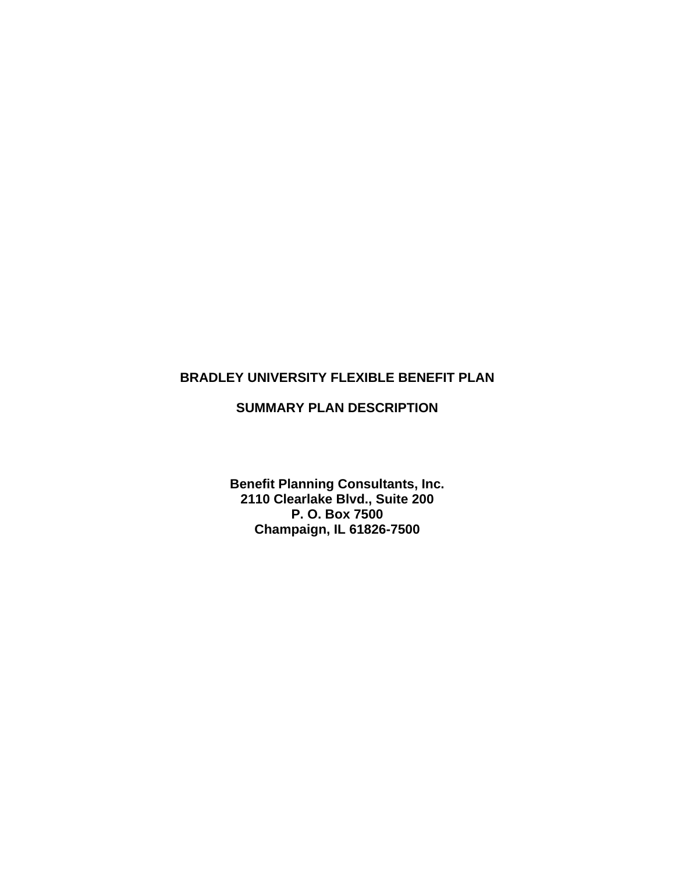# **BRADLEY UNIVERSITY FLEXIBLE BENEFIT PLAN**

# **SUMMARY PLAN DESCRIPTION**

**Benefit Planning Consultants, Inc. 2110 Clearlake Blvd., Suite 200 P. O. Box 7500 Champaign, IL 61826-7500**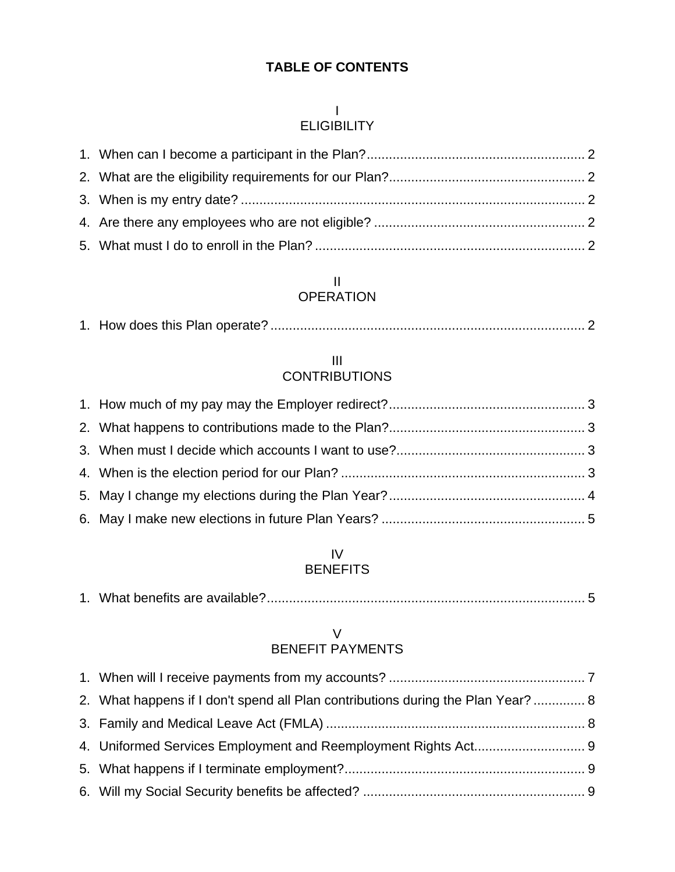# **TABLE OF CONTENTS**

# I **ELIGIBILITY**

### II OPERATION

# III **CONTRIBUTIONS**

# IV

# BENEFITS

|--|--|--|

# V BENEFIT PAYMENTS

| 2. What happens if I don't spend all Plan contributions during the Plan Year?  8 |  |
|----------------------------------------------------------------------------------|--|
|                                                                                  |  |
|                                                                                  |  |
|                                                                                  |  |
|                                                                                  |  |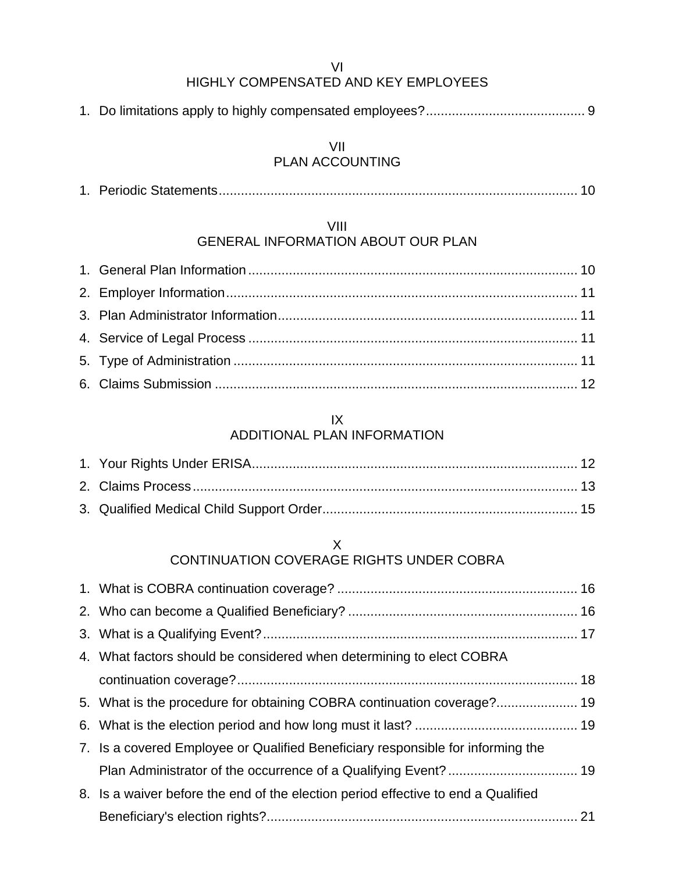VI

# HIGHLY COMPENSATED AND KEY EMPLOYEES

|--|--|--|--|

### VII PLAN ACCOUNTING

|--|--|--|--|

#### VIII

# GENERAL INFORMATION ABOUT OUR PLAN

### IX ADDITIONAL PLAN INFORMATION

# X CONTINUATION COVERAGE RIGHTS UNDER COBRA

| 4. What factors should be considered when determining to elect COBRA              |  |
|-----------------------------------------------------------------------------------|--|
|                                                                                   |  |
| 5. What is the procedure for obtaining COBRA continuation coverage? 19            |  |
|                                                                                   |  |
| 7. Is a covered Employee or Qualified Beneficiary responsible for informing the   |  |
|                                                                                   |  |
| 8. Is a waiver before the end of the election period effective to end a Qualified |  |
|                                                                                   |  |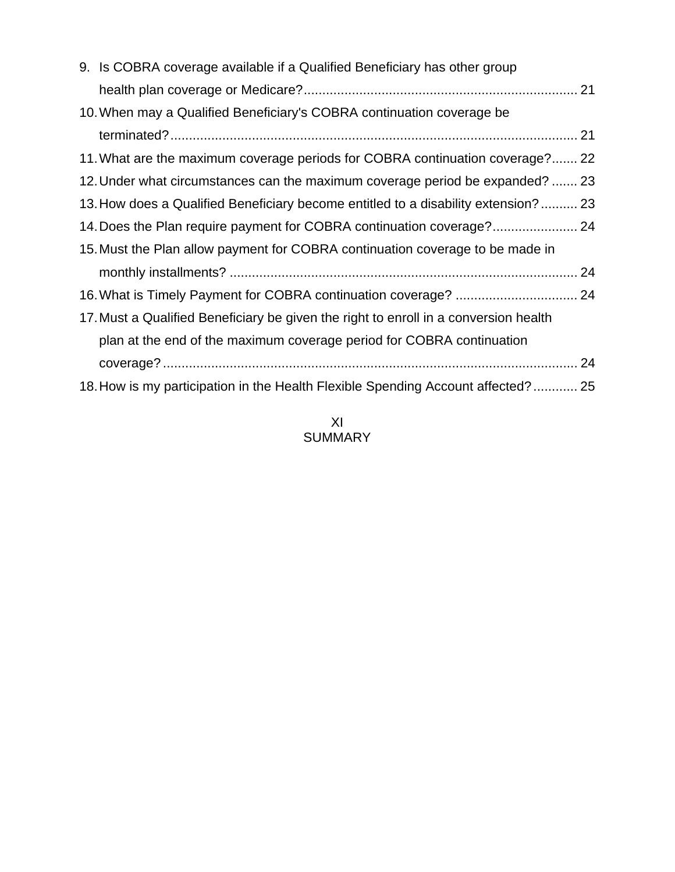| 9. Is COBRA coverage available if a Qualified Beneficiary has other group            |  |
|--------------------------------------------------------------------------------------|--|
|                                                                                      |  |
| 10. When may a Qualified Beneficiary's COBRA continuation coverage be                |  |
|                                                                                      |  |
| 11. What are the maximum coverage periods for COBRA continuation coverage? 22        |  |
| 12. Under what circumstances can the maximum coverage period be expanded?  23        |  |
| 13. How does a Qualified Beneficiary become entitled to a disability extension? 23   |  |
|                                                                                      |  |
| 15. Must the Plan allow payment for COBRA continuation coverage to be made in        |  |
|                                                                                      |  |
|                                                                                      |  |
| 17. Must a Qualified Beneficiary be given the right to enroll in a conversion health |  |
| plan at the end of the maximum coverage period for COBRA continuation                |  |
|                                                                                      |  |
| 18. How is my participation in the Health Flexible Spending Account affected?  25    |  |

### XI SUMMARY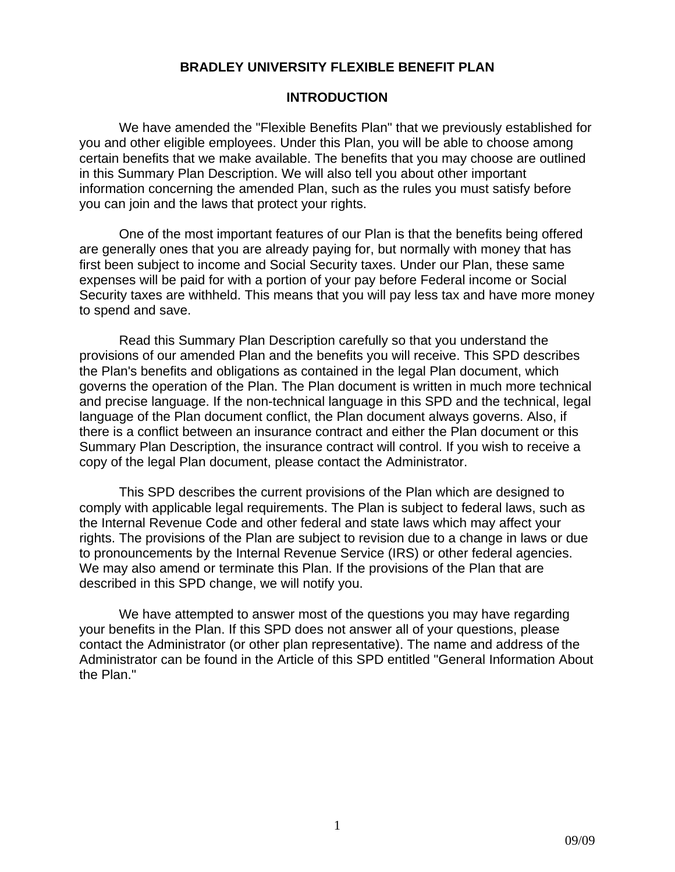# **BRADLEY UNIVERSITY FLEXIBLE BENEFIT PLAN**

# **INTRODUCTION**

We have amended the "Flexible Benefits Plan" that we previously established for you and other eligible employees. Under this Plan, you will be able to choose among certain benefits that we make available. The benefits that you may choose are outlined in this Summary Plan Description. We will also tell you about other important information concerning the amended Plan, such as the rules you must satisfy before you can join and the laws that protect your rights.

One of the most important features of our Plan is that the benefits being offered are generally ones that you are already paying for, but normally with money that has first been subject to income and Social Security taxes. Under our Plan, these same expenses will be paid for with a portion of your pay before Federal income or Social Security taxes are withheld. This means that you will pay less tax and have more money to spend and save.

Read this Summary Plan Description carefully so that you understand the provisions of our amended Plan and the benefits you will receive. This SPD describes the Plan's benefits and obligations as contained in the legal Plan document, which governs the operation of the Plan. The Plan document is written in much more technical and precise language. If the non-technical language in this SPD and the technical, legal language of the Plan document conflict, the Plan document always governs. Also, if there is a conflict between an insurance contract and either the Plan document or this Summary Plan Description, the insurance contract will control. If you wish to receive a copy of the legal Plan document, please contact the Administrator.

This SPD describes the current provisions of the Plan which are designed to comply with applicable legal requirements. The Plan is subject to federal laws, such as the Internal Revenue Code and other federal and state laws which may affect your rights. The provisions of the Plan are subject to revision due to a change in laws or due to pronouncements by the Internal Revenue Service (IRS) or other federal agencies. We may also amend or terminate this Plan. If the provisions of the Plan that are described in this SPD change, we will notify you.

We have attempted to answer most of the questions you may have regarding your benefits in the Plan. If this SPD does not answer all of your questions, please contact the Administrator (or other plan representative). The name and address of the Administrator can be found in the Article of this SPD entitled "General Information About the Plan."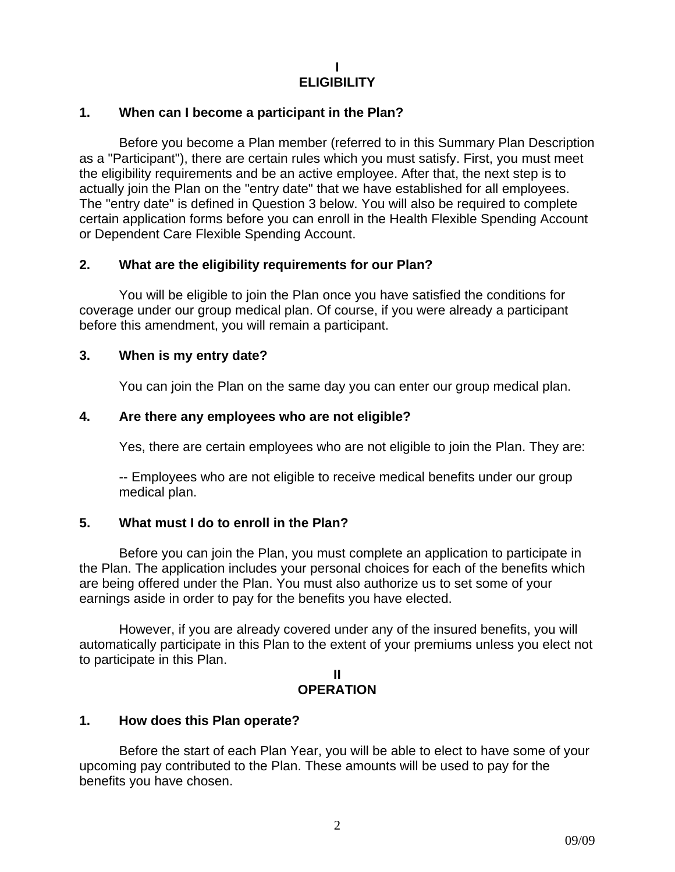#### **I ELIGIBILITY**

### <span id="page-5-0"></span>**1. When can I become a participant in the Plan?**

Before you become a Plan member (referred to in this Summary Plan Description as a "Participant"), there are certain rules which you must satisfy. First, you must meet the eligibility requirements and be an active employee. After that, the next step is to actually join the Plan on the "entry date" that we have established for all employees. The "entry date" is defined in Question 3 below. You will also be required to complete certain application forms before you can enroll in the Health Flexible Spending Account or Dependent Care Flexible Spending Account.

### **2. What are the eligibility requirements for our Plan?**

You will be eligible to join the Plan once you have satisfied the conditions for coverage under our group medical plan. Of course, if you were already a participant before this amendment, you will remain a participant.

### **3. When is my entry date?**

You can join the Plan on the same day you can enter our group medical plan.

# **4. Are there any employees who are not eligible?**

Yes, there are certain employees who are not eligible to join the Plan. They are:

-- Employees who are not eligible to receive medical benefits under our group medical plan.

# **5. What must I do to enroll in the Plan?**

Before you can join the Plan, you must complete an application to participate in the Plan. The application includes your personal choices for each of the benefits which are being offered under the Plan. You must also authorize us to set some of your earnings aside in order to pay for the benefits you have elected.

However, if you are already covered under any of the insured benefits, you will automatically participate in this Plan to the extent of your premiums unless you elect not to participate in this Plan.

#### **II OPERATION**

### **1. How does this Plan operate?**

Before the start of each Plan Year, you will be able to elect to have some of your upcoming pay contributed to the Plan. These amounts will be used to pay for the benefits you have chosen.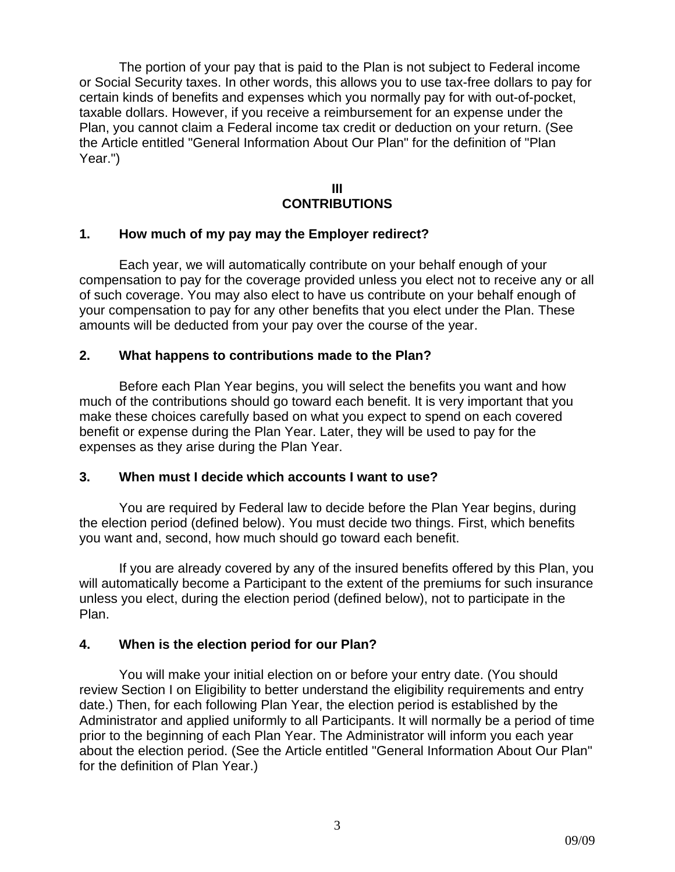<span id="page-6-0"></span>The portion of your pay that is paid to the Plan is not subject to Federal income or Social Security taxes. In other words, this allows you to use tax-free dollars to pay for certain kinds of benefits and expenses which you normally pay for with out-of-pocket, taxable dollars. However, if you receive a reimbursement for an expense under the Plan, you cannot claim a Federal income tax credit or deduction on your return. (See the Article entitled "General Information About Our Plan" for the definition of "Plan Year.")

#### **III CONTRIBUTIONS**

#### **1. How much of my pay may the Employer redirect?**

Each year, we will automatically contribute on your behalf enough of your compensation to pay for the coverage provided unless you elect not to receive any or all of such coverage. You may also elect to have us contribute on your behalf enough of your compensation to pay for any other benefits that you elect under the Plan. These amounts will be deducted from your pay over the course of the year.

#### **2. What happens to contributions made to the Plan?**

Before each Plan Year begins, you will select the benefits you want and how much of the contributions should go toward each benefit. It is very important that you make these choices carefully based on what you expect to spend on each covered benefit or expense during the Plan Year. Later, they will be used to pay for the expenses as they arise during the Plan Year.

#### **3. When must I decide which accounts I want to use?**

You are required by Federal law to decide before the Plan Year begins, during the election period (defined below). You must decide two things. First, which benefits you want and, second, how much should go toward each benefit.

If you are already covered by any of the insured benefits offered by this Plan, you will automatically become a Participant to the extent of the premiums for such insurance unless you elect, during the election period (defined below), not to participate in the Plan.

### **4. When is the election period for our Plan?**

You will make your initial election on or before your entry date. (You should review Section I on Eligibility to better understand the eligibility requirements and entry date.) Then, for each following Plan Year, the election period is established by the Administrator and applied uniformly to all Participants. It will normally be a period of time prior to the beginning of each Plan Year. The Administrator will inform you each year about the election period. (See the Article entitled "General Information About Our Plan" for the definition of Plan Year.)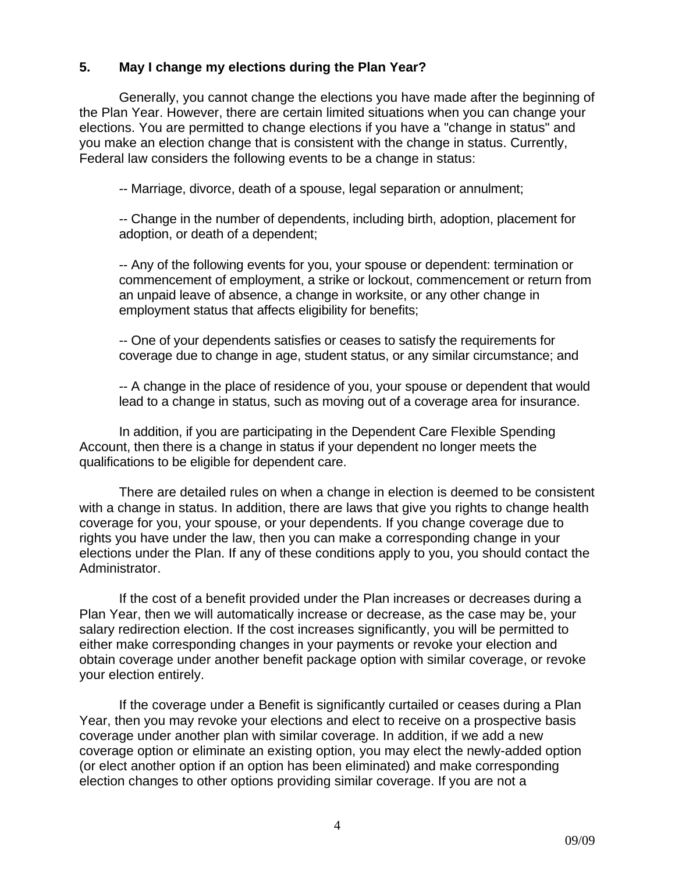# <span id="page-7-0"></span>**5. May I change my elections during the Plan Year?**

Generally, you cannot change the elections you have made after the beginning of the Plan Year. However, there are certain limited situations when you can change your elections. You are permitted to change elections if you have a "change in status" and you make an election change that is consistent with the change in status. Currently, Federal law considers the following events to be a change in status:

-- Marriage, divorce, death of a spouse, legal separation or annulment;

-- Change in the number of dependents, including birth, adoption, placement for adoption, or death of a dependent;

-- Any of the following events for you, your spouse or dependent: termination or commencement of employment, a strike or lockout, commencement or return from an unpaid leave of absence, a change in worksite, or any other change in employment status that affects eligibility for benefits;

-- One of your dependents satisfies or ceases to satisfy the requirements for coverage due to change in age, student status, or any similar circumstance; and

-- A change in the place of residence of you, your spouse or dependent that would lead to a change in status, such as moving out of a coverage area for insurance.

In addition, if you are participating in the Dependent Care Flexible Spending Account, then there is a change in status if your dependent no longer meets the qualifications to be eligible for dependent care.

There are detailed rules on when a change in election is deemed to be consistent with a change in status. In addition, there are laws that give you rights to change health coverage for you, your spouse, or your dependents. If you change coverage due to rights you have under the law, then you can make a corresponding change in your elections under the Plan. If any of these conditions apply to you, you should contact the Administrator.

If the cost of a benefit provided under the Plan increases or decreases during a Plan Year, then we will automatically increase or decrease, as the case may be, your salary redirection election. If the cost increases significantly, you will be permitted to either make corresponding changes in your payments or revoke your election and obtain coverage under another benefit package option with similar coverage, or revoke your election entirely.

If the coverage under a Benefit is significantly curtailed or ceases during a Plan Year, then you may revoke your elections and elect to receive on a prospective basis coverage under another plan with similar coverage. In addition, if we add a new coverage option or eliminate an existing option, you may elect the newly-added option (or elect another option if an option has been eliminated) and make corresponding election changes to other options providing similar coverage. If you are not a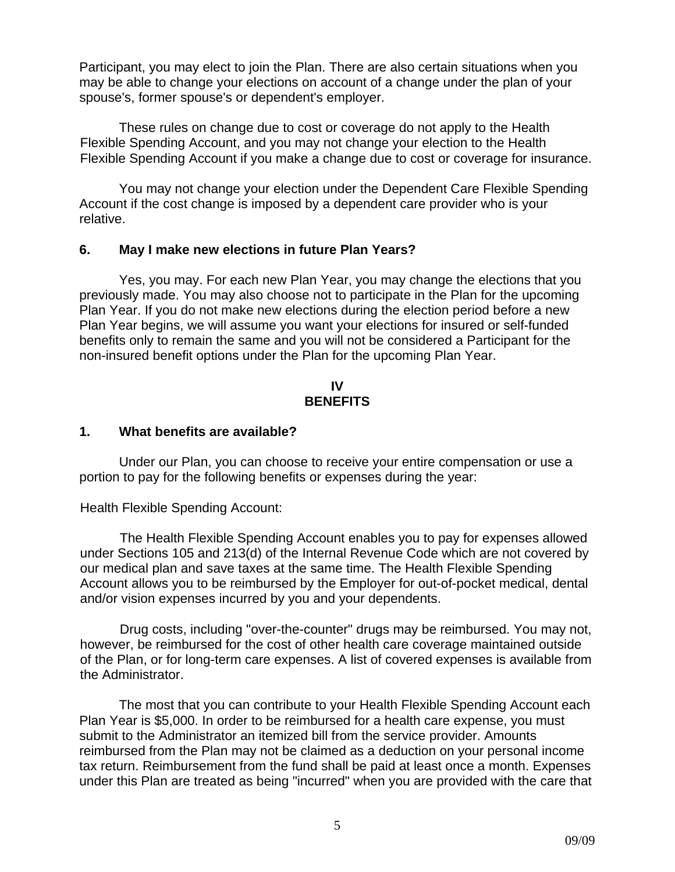<span id="page-8-0"></span>Participant, you may elect to join the Plan. There are also certain situations when you may be able to change your elections on account of a change under the plan of your spouse's, former spouse's or dependent's employer.

These rules on change due to cost or coverage do not apply to the Health Flexible Spending Account, and you may not change your election to the Health Flexible Spending Account if you make a change due to cost or coverage for insurance.

You may not change your election under the Dependent Care Flexible Spending Account if the cost change is imposed by a dependent care provider who is your relative.

# **6. May I make new elections in future Plan Years?**

Yes, you may. For each new Plan Year, you may change the elections that you previously made. You may also choose not to participate in the Plan for the upcoming Plan Year. If you do not make new elections during the election period before a new Plan Year begins, we will assume you want your elections for insured or self-funded benefits only to remain the same and you will not be considered a Participant for the non-insured benefit options under the Plan for the upcoming Plan Year.

#### **IV BENEFITS**

# **1. What benefits are available?**

Under our Plan, you can choose to receive your entire compensation or use a portion to pay for the following benefits or expenses during the year:

Health Flexible Spending Account:

The Health Flexible Spending Account enables you to pay for expenses allowed under Sections 105 and 213(d) of the Internal Revenue Code which are not covered by our medical plan and save taxes at the same time. The Health Flexible Spending Account allows you to be reimbursed by the Employer for out-of-pocket medical, dental and/or vision expenses incurred by you and your dependents.

Drug costs, including "over-the-counter" drugs may be reimbursed. You may not, however, be reimbursed for the cost of other health care coverage maintained outside of the Plan, or for long-term care expenses. A list of covered expenses is available from the Administrator.

The most that you can contribute to your Health Flexible Spending Account each Plan Year is \$5,000. In order to be reimbursed for a health care expense, you must submit to the Administrator an itemized bill from the service provider. Amounts reimbursed from the Plan may not be claimed as a deduction on your personal income tax return. Reimbursement from the fund shall be paid at least once a month. Expenses under this Plan are treated as being "incurred" when you are provided with the care that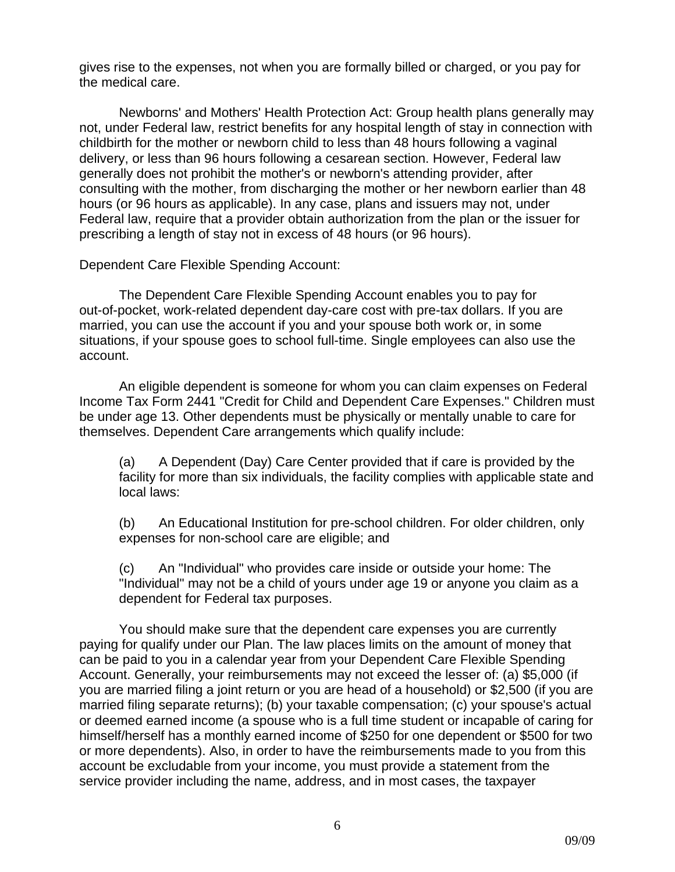gives rise to the expenses, not when you are formally billed or charged, or you pay for the medical care.

Newborns' and Mothers' Health Protection Act: Group health plans generally may not, under Federal law, restrict benefits for any hospital length of stay in connection with childbirth for the mother or newborn child to less than 48 hours following a vaginal delivery, or less than 96 hours following a cesarean section. However, Federal law generally does not prohibit the mother's or newborn's attending provider, after consulting with the mother, from discharging the mother or her newborn earlier than 48 hours (or 96 hours as applicable). In any case, plans and issuers may not, under Federal law, require that a provider obtain authorization from the plan or the issuer for prescribing a length of stay not in excess of 48 hours (or 96 hours).

Dependent Care Flexible Spending Account:

The Dependent Care Flexible Spending Account enables you to pay for out-of-pocket, work-related dependent day-care cost with pre-tax dollars. If you are married, you can use the account if you and your spouse both work or, in some situations, if your spouse goes to school full-time. Single employees can also use the account.

An eligible dependent is someone for whom you can claim expenses on Federal Income Tax Form 2441 "Credit for Child and Dependent Care Expenses." Children must be under age 13. Other dependents must be physically or mentally unable to care for themselves. Dependent Care arrangements which qualify include:

(a) A Dependent (Day) Care Center provided that if care is provided by the facility for more than six individuals, the facility complies with applicable state and local laws:

(b) An Educational Institution for pre-school children. For older children, only expenses for non-school care are eligible; and

(c) An "Individual" who provides care inside or outside your home: The "Individual" may not be a child of yours under age 19 or anyone you claim as a dependent for Federal tax purposes.

You should make sure that the dependent care expenses you are currently paying for qualify under our Plan. The law places limits on the amount of money that can be paid to you in a calendar year from your Dependent Care Flexible Spending Account. Generally, your reimbursements may not exceed the lesser of: (a) \$5,000 (if you are married filing a joint return or you are head of a household) or \$2,500 (if you are married filing separate returns); (b) your taxable compensation; (c) your spouse's actual or deemed earned income (a spouse who is a full time student or incapable of caring for himself/herself has a monthly earned income of \$250 for one dependent or \$500 for two or more dependents). Also, in order to have the reimbursements made to you from this account be excludable from your income, you must provide a statement from the service provider including the name, address, and in most cases, the taxpayer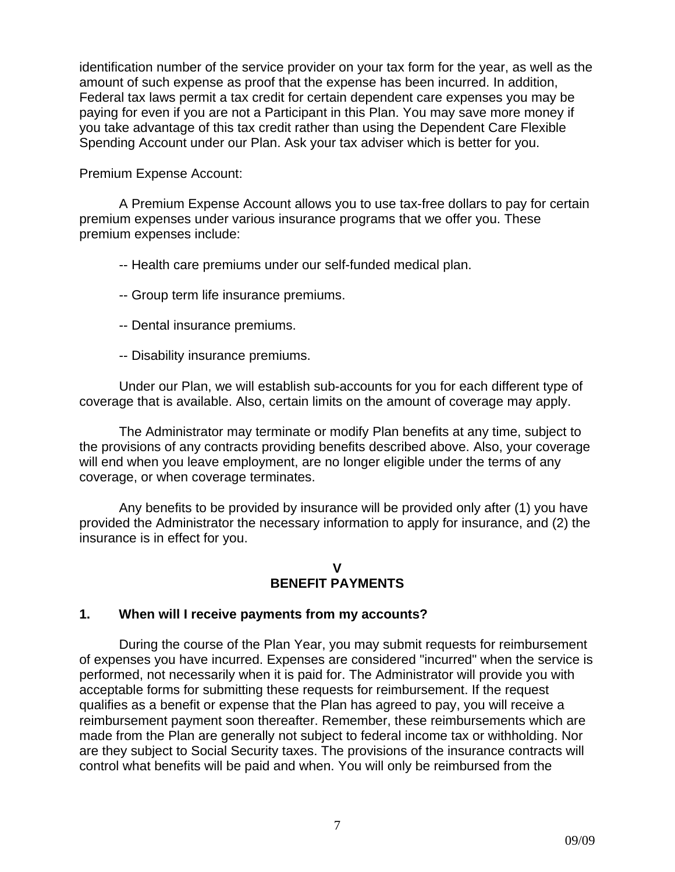<span id="page-10-0"></span>identification number of the service provider on your tax form for the year, as well as the amount of such expense as proof that the expense has been incurred. In addition, Federal tax laws permit a tax credit for certain dependent care expenses you may be paying for even if you are not a Participant in this Plan. You may save more money if you take advantage of this tax credit rather than using the Dependent Care Flexible Spending Account under our Plan. Ask your tax adviser which is better for you.

Premium Expense Account:

A Premium Expense Account allows you to use tax-free dollars to pay for certain premium expenses under various insurance programs that we offer you. These premium expenses include:

-- Health care premiums under our self-funded medical plan.

- -- Group term life insurance premiums.
- -- Dental insurance premiums.
- -- Disability insurance premiums.

Under our Plan, we will establish sub-accounts for you for each different type of coverage that is available. Also, certain limits on the amount of coverage may apply.

The Administrator may terminate or modify Plan benefits at any time, subject to the provisions of any contracts providing benefits described above. Also, your coverage will end when you leave employment, are no longer eligible under the terms of any coverage, or when coverage terminates.

Any benefits to be provided by insurance will be provided only after (1) you have provided the Administrator the necessary information to apply for insurance, and (2) the insurance is in effect for you.

#### **V BENEFIT PAYMENTS**

# **1. When will I receive payments from my accounts?**

During the course of the Plan Year, you may submit requests for reimbursement of expenses you have incurred. Expenses are considered "incurred" when the service is performed, not necessarily when it is paid for. The Administrator will provide you with acceptable forms for submitting these requests for reimbursement. If the request qualifies as a benefit or expense that the Plan has agreed to pay, you will receive a reimbursement payment soon thereafter. Remember, these reimbursements which are made from the Plan are generally not subject to federal income tax or withholding. Nor are they subject to Social Security taxes. The provisions of the insurance contracts will control what benefits will be paid and when. You will only be reimbursed from the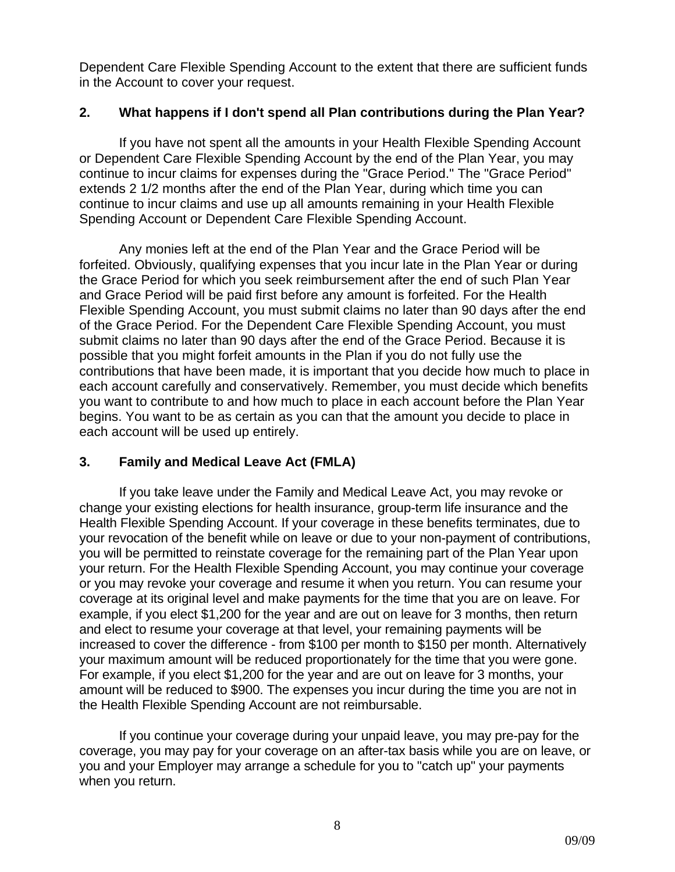<span id="page-11-0"></span>Dependent Care Flexible Spending Account to the extent that there are sufficient funds in the Account to cover your request.

# **2. What happens if I don't spend all Plan contributions during the Plan Year?**

If you have not spent all the amounts in your Health Flexible Spending Account or Dependent Care Flexible Spending Account by the end of the Plan Year, you may continue to incur claims for expenses during the "Grace Period." The "Grace Period" extends 2 1/2 months after the end of the Plan Year, during which time you can continue to incur claims and use up all amounts remaining in your Health Flexible Spending Account or Dependent Care Flexible Spending Account.

Any monies left at the end of the Plan Year and the Grace Period will be forfeited. Obviously, qualifying expenses that you incur late in the Plan Year or during the Grace Period for which you seek reimbursement after the end of such Plan Year and Grace Period will be paid first before any amount is forfeited. For the Health Flexible Spending Account, you must submit claims no later than 90 days after the end of the Grace Period. For the Dependent Care Flexible Spending Account, you must submit claims no later than 90 days after the end of the Grace Period. Because it is possible that you might forfeit amounts in the Plan if you do not fully use the contributions that have been made, it is important that you decide how much to place in each account carefully and conservatively. Remember, you must decide which benefits you want to contribute to and how much to place in each account before the Plan Year begins. You want to be as certain as you can that the amount you decide to place in each account will be used up entirely.

# **3. Family and Medical Leave Act (FMLA)**

If you take leave under the Family and Medical Leave Act, you may revoke or change your existing elections for health insurance, group-term life insurance and the Health Flexible Spending Account. If your coverage in these benefits terminates, due to your revocation of the benefit while on leave or due to your non-payment of contributions, you will be permitted to reinstate coverage for the remaining part of the Plan Year upon your return. For the Health Flexible Spending Account, you may continue your coverage or you may revoke your coverage and resume it when you return. You can resume your coverage at its original level and make payments for the time that you are on leave. For example, if you elect \$1,200 for the year and are out on leave for 3 months, then return and elect to resume your coverage at that level, your remaining payments will be increased to cover the difference - from \$100 per month to \$150 per month. Alternatively your maximum amount will be reduced proportionately for the time that you were gone. For example, if you elect \$1,200 for the year and are out on leave for 3 months, your amount will be reduced to \$900. The expenses you incur during the time you are not in the Health Flexible Spending Account are not reimbursable.

If you continue your coverage during your unpaid leave, you may pre-pay for the coverage, you may pay for your coverage on an after-tax basis while you are on leave, or you and your Employer may arrange a schedule for you to "catch up" your payments when you return.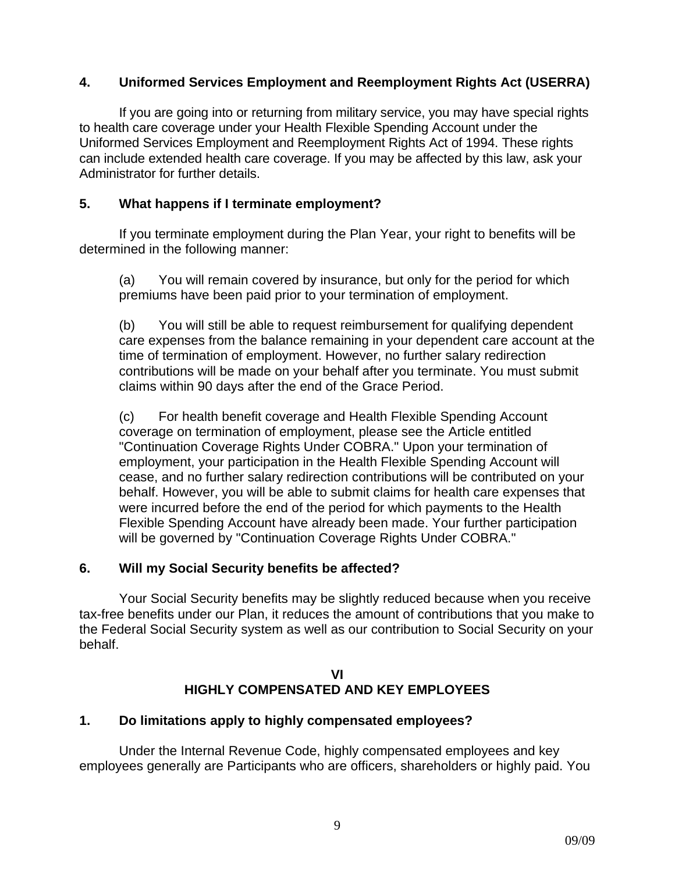# <span id="page-12-0"></span>**4. Uniformed Services Employment and Reemployment Rights Act (USERRA)**

If you are going into or returning from military service, you may have special rights to health care coverage under your Health Flexible Spending Account under the Uniformed Services Employment and Reemployment Rights Act of 1994. These rights can include extended health care coverage. If you may be affected by this law, ask your Administrator for further details.

# **5. What happens if I terminate employment?**

If you terminate employment during the Plan Year, your right to benefits will be determined in the following manner:

(a) You will remain covered by insurance, but only for the period for which premiums have been paid prior to your termination of employment.

(b) You will still be able to request reimbursement for qualifying dependent care expenses from the balance remaining in your dependent care account at the time of termination of employment. However, no further salary redirection contributions will be made on your behalf after you terminate. You must submit claims within 90 days after the end of the Grace Period.

(c) For health benefit coverage and Health Flexible Spending Account coverage on termination of employment, please see the Article entitled "Continuation Coverage Rights Under COBRA." Upon your termination of employment, your participation in the Health Flexible Spending Account will cease, and no further salary redirection contributions will be contributed on your behalf. However, you will be able to submit claims for health care expenses that were incurred before the end of the period for which payments to the Health Flexible Spending Account have already been made. Your further participation will be governed by "Continuation Coverage Rights Under COBRA."

# **6. Will my Social Security benefits be affected?**

Your Social Security benefits may be slightly reduced because when you receive tax-free benefits under our Plan, it reduces the amount of contributions that you make to the Federal Social Security system as well as our contribution to Social Security on your behalf.

# **VI HIGHLY COMPENSATED AND KEY EMPLOYEES**

# **1. Do limitations apply to highly compensated employees?**

Under the Internal Revenue Code, highly compensated employees and key employees generally are Participants who are officers, shareholders or highly paid. You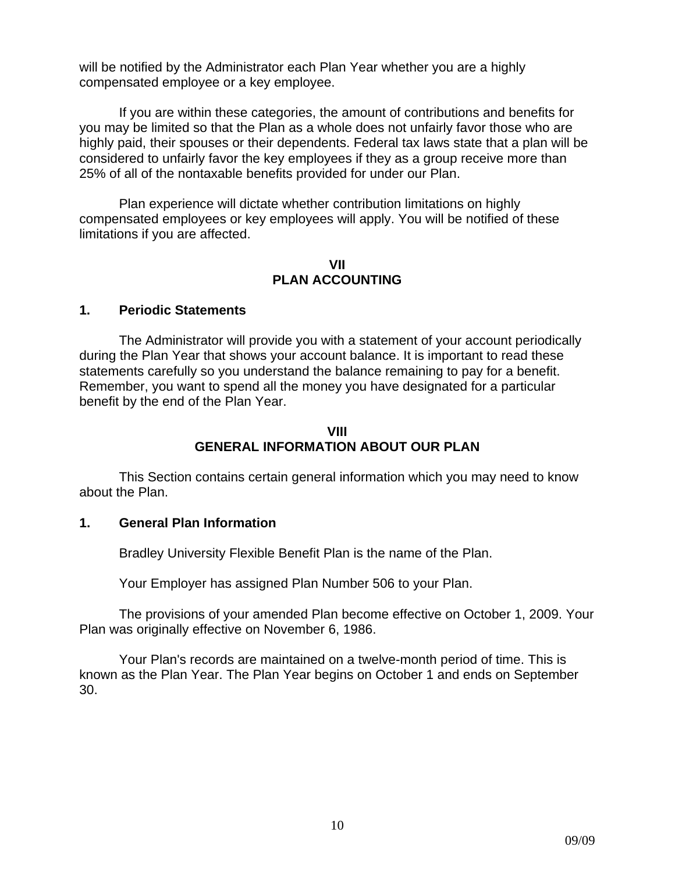<span id="page-13-0"></span>will be notified by the Administrator each Plan Year whether you are a highly compensated employee or a key employee.

If you are within these categories, the amount of contributions and benefits for you may be limited so that the Plan as a whole does not unfairly favor those who are highly paid, their spouses or their dependents. Federal tax laws state that a plan will be considered to unfairly favor the key employees if they as a group receive more than 25% of all of the nontaxable benefits provided for under our Plan.

Plan experience will dictate whether contribution limitations on highly compensated employees or key employees will apply. You will be notified of these limitations if you are affected.

#### **VII PLAN ACCOUNTING**

### **1. Periodic Statements**

The Administrator will provide you with a statement of your account periodically during the Plan Year that shows your account balance. It is important to read these statements carefully so you understand the balance remaining to pay for a benefit. Remember, you want to spend all the money you have designated for a particular benefit by the end of the Plan Year.

#### **VIII GENERAL INFORMATION ABOUT OUR PLAN**

This Section contains certain general information which you may need to know about the Plan.

### **1. General Plan Information**

Bradley University Flexible Benefit Plan is the name of the Plan.

Your Employer has assigned Plan Number 506 to your Plan.

The provisions of your amended Plan become effective on October 1, 2009. Your Plan was originally effective on November 6, 1986.

Your Plan's records are maintained on a twelve-month period of time. This is known as the Plan Year. The Plan Year begins on October 1 and ends on September 30.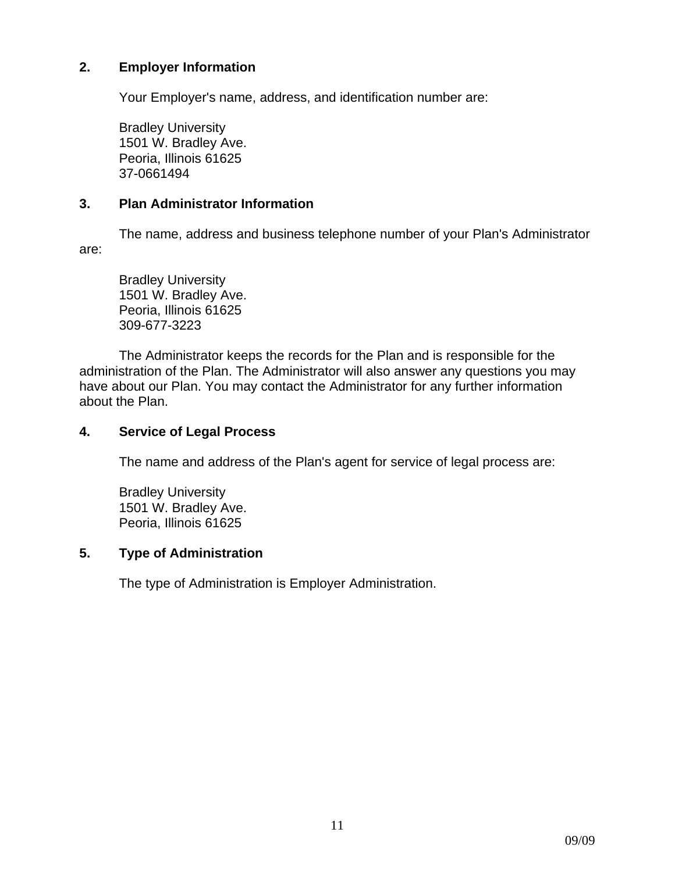# <span id="page-14-0"></span>**2. Employer Information**

Your Employer's name, address, and identification number are:

Bradley University 1501 W. Bradley Ave. Peoria, Illinois 61625 37-0661494

# **3. Plan Administrator Information**

The name, address and business telephone number of your Plan's Administrator are:

Bradley University 1501 W. Bradley Ave. Peoria, Illinois 61625 309-677-3223

The Administrator keeps the records for the Plan and is responsible for the administration of the Plan. The Administrator will also answer any questions you may have about our Plan. You may contact the Administrator for any further information about the Plan.

# **4. Service of Legal Process**

The name and address of the Plan's agent for service of legal process are:

Bradley University 1501 W. Bradley Ave. Peoria, Illinois 61625

# **5. Type of Administration**

The type of Administration is Employer Administration.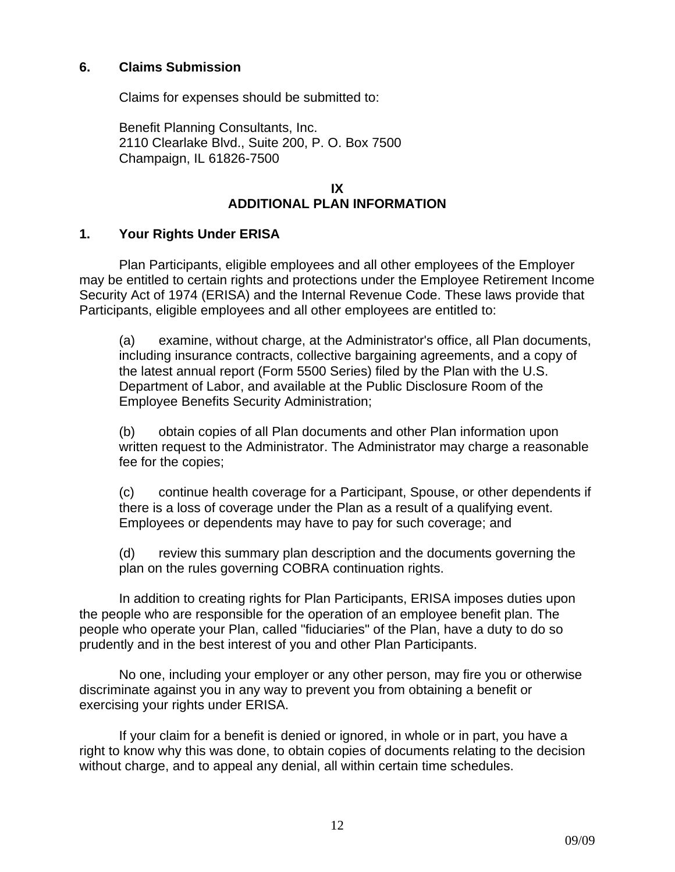# <span id="page-15-0"></span>**6. Claims Submission**

Claims for expenses should be submitted to:

Benefit Planning Consultants, Inc. 2110 Clearlake Blvd., Suite 200, P. O. Box 7500 Champaign, IL 61826-7500

### **IX ADDITIONAL PLAN INFORMATION**

# **1. Your Rights Under ERISA**

Plan Participants, eligible employees and all other employees of the Employer may be entitled to certain rights and protections under the Employee Retirement Income Security Act of 1974 (ERISA) and the Internal Revenue Code. These laws provide that Participants, eligible employees and all other employees are entitled to:

(a) examine, without charge, at the Administrator's office, all Plan documents, including insurance contracts, collective bargaining agreements, and a copy of the latest annual report (Form 5500 Series) filed by the Plan with the U.S. Department of Labor, and available at the Public Disclosure Room of the Employee Benefits Security Administration;

(b) obtain copies of all Plan documents and other Plan information upon written request to the Administrator. The Administrator may charge a reasonable fee for the copies;

(c) continue health coverage for a Participant, Spouse, or other dependents if there is a loss of coverage under the Plan as a result of a qualifying event. Employees or dependents may have to pay for such coverage; and

(d) review this summary plan description and the documents governing the plan on the rules governing COBRA continuation rights.

In addition to creating rights for Plan Participants, ERISA imposes duties upon the people who are responsible for the operation of an employee benefit plan. The people who operate your Plan, called "fiduciaries" of the Plan, have a duty to do so prudently and in the best interest of you and other Plan Participants.

No one, including your employer or any other person, may fire you or otherwise discriminate against you in any way to prevent you from obtaining a benefit or exercising your rights under ERISA.

If your claim for a benefit is denied or ignored, in whole or in part, you have a right to know why this was done, to obtain copies of documents relating to the decision without charge, and to appeal any denial, all within certain time schedules.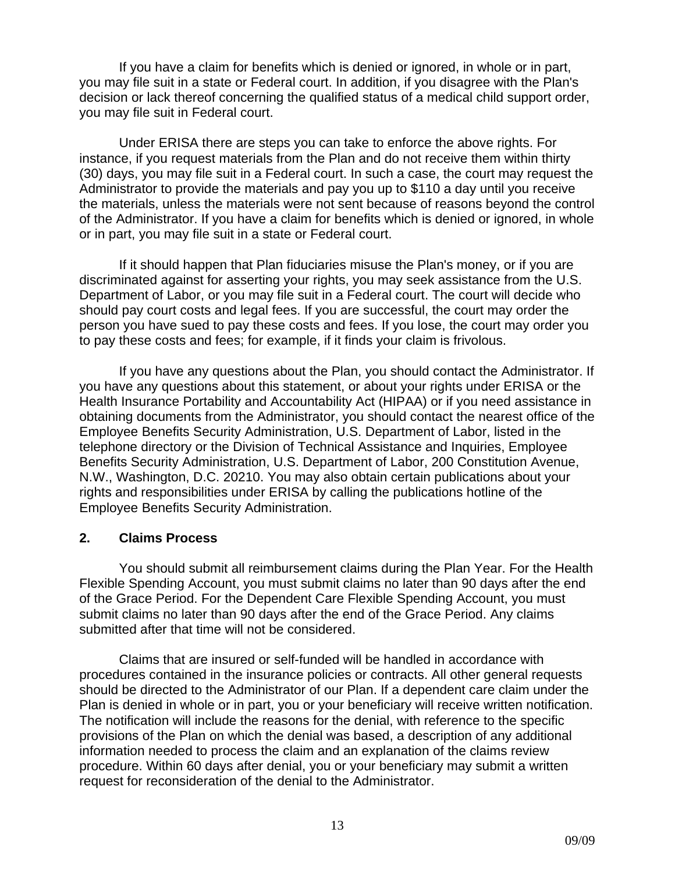<span id="page-16-0"></span>If you have a claim for benefits which is denied or ignored, in whole or in part, you may file suit in a state or Federal court. In addition, if you disagree with the Plan's decision or lack thereof concerning the qualified status of a medical child support order, you may file suit in Federal court.

Under ERISA there are steps you can take to enforce the above rights. For instance, if you request materials from the Plan and do not receive them within thirty (30) days, you may file suit in a Federal court. In such a case, the court may request the Administrator to provide the materials and pay you up to \$110 a day until you receive the materials, unless the materials were not sent because of reasons beyond the control of the Administrator. If you have a claim for benefits which is denied or ignored, in whole or in part, you may file suit in a state or Federal court.

If it should happen that Plan fiduciaries misuse the Plan's money, or if you are discriminated against for asserting your rights, you may seek assistance from the U.S. Department of Labor, or you may file suit in a Federal court. The court will decide who should pay court costs and legal fees. If you are successful, the court may order the person you have sued to pay these costs and fees. If you lose, the court may order you to pay these costs and fees; for example, if it finds your claim is frivolous.

If you have any questions about the Plan, you should contact the Administrator. If you have any questions about this statement, or about your rights under ERISA or the Health Insurance Portability and Accountability Act (HIPAA) or if you need assistance in obtaining documents from the Administrator, you should contact the nearest office of the Employee Benefits Security Administration, U.S. Department of Labor, listed in the telephone directory or the Division of Technical Assistance and Inquiries, Employee Benefits Security Administration, U.S. Department of Labor, 200 Constitution Avenue, N.W., Washington, D.C. 20210. You may also obtain certain publications about your rights and responsibilities under ERISA by calling the publications hotline of the Employee Benefits Security Administration.

### **2. Claims Process**

You should submit all reimbursement claims during the Plan Year. For the Health Flexible Spending Account, you must submit claims no later than 90 days after the end of the Grace Period. For the Dependent Care Flexible Spending Account, you must submit claims no later than 90 days after the end of the Grace Period. Any claims submitted after that time will not be considered.

Claims that are insured or self-funded will be handled in accordance with procedures contained in the insurance policies or contracts. All other general requests should be directed to the Administrator of our Plan. If a dependent care claim under the Plan is denied in whole or in part, you or your beneficiary will receive written notification. The notification will include the reasons for the denial, with reference to the specific provisions of the Plan on which the denial was based, a description of any additional information needed to process the claim and an explanation of the claims review procedure. Within 60 days after denial, you or your beneficiary may submit a written request for reconsideration of the denial to the Administrator.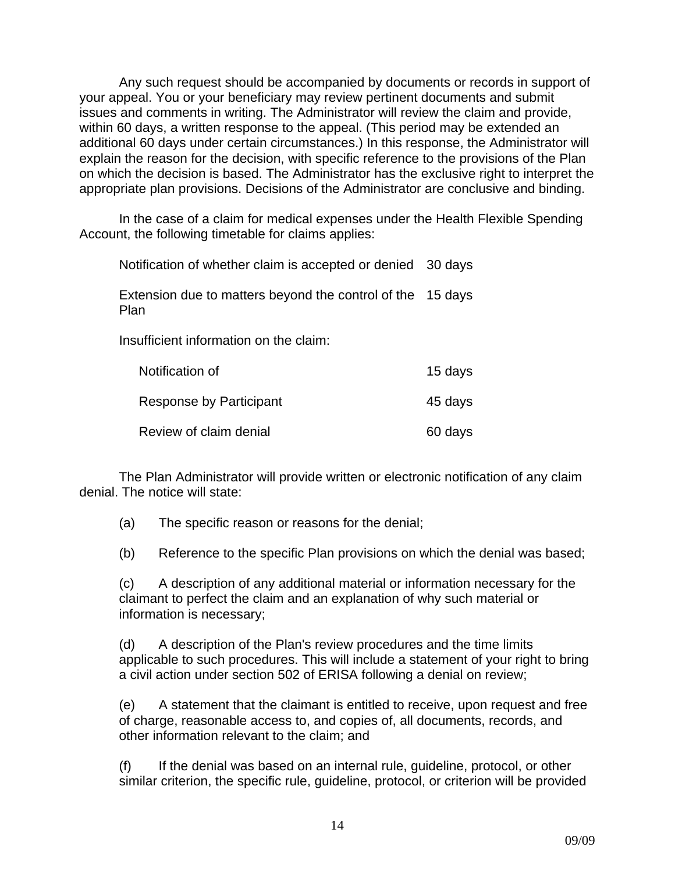Any such request should be accompanied by documents or records in support of your appeal. You or your beneficiary may review pertinent documents and submit issues and comments in writing. The Administrator will review the claim and provide, within 60 days, a written response to the appeal. (This period may be extended an additional 60 days under certain circumstances.) In this response, the Administrator will explain the reason for the decision, with specific reference to the provisions of the Plan on which the decision is based. The Administrator has the exclusive right to interpret the appropriate plan provisions. Decisions of the Administrator are conclusive and binding.

In the case of a claim for medical expenses under the Health Flexible Spending Account, the following timetable for claims applies:

Notification of whether claim is accepted or denied 30 days

Extension due to matters beyond the control of the 15 days Plan

Insufficient information on the claim:

| Notification of         | 15 days |
|-------------------------|---------|
| Response by Participant | 45 days |
| Review of claim denial  | 60 days |

The Plan Administrator will provide written or electronic notification of any claim denial. The notice will state:

(a) The specific reason or reasons for the denial;

(b) Reference to the specific Plan provisions on which the denial was based;

(c) A description of any additional material or information necessary for the claimant to perfect the claim and an explanation of why such material or information is necessary;

(d) A description of the Plan's review procedures and the time limits applicable to such procedures. This will include a statement of your right to bring a civil action under section 502 of ERISA following a denial on review;

(e) A statement that the claimant is entitled to receive, upon request and free of charge, reasonable access to, and copies of, all documents, records, and other information relevant to the claim; and

(f) If the denial was based on an internal rule, guideline, protocol, or other similar criterion, the specific rule, guideline, protocol, or criterion will be provided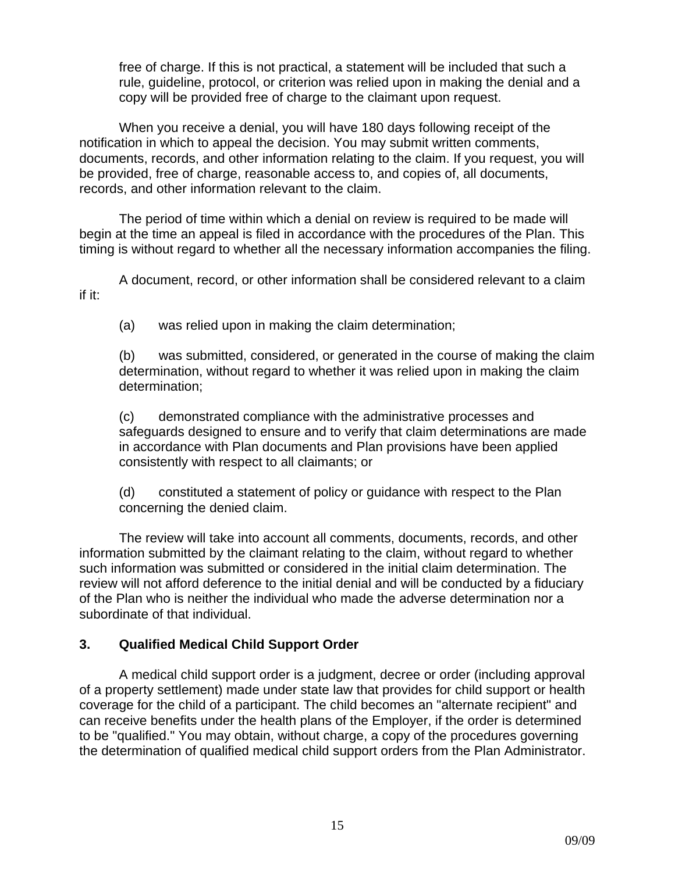<span id="page-18-0"></span>free of charge. If this is not practical, a statement will be included that such a rule, guideline, protocol, or criterion was relied upon in making the denial and a copy will be provided free of charge to the claimant upon request.

When you receive a denial, you will have 180 days following receipt of the notification in which to appeal the decision. You may submit written comments, documents, records, and other information relating to the claim. If you request, you will be provided, free of charge, reasonable access to, and copies of, all documents, records, and other information relevant to the claim.

The period of time within which a denial on review is required to be made will begin at the time an appeal is filed in accordance with the procedures of the Plan. This timing is without regard to whether all the necessary information accompanies the filing.

A document, record, or other information shall be considered relevant to a claim if it:

(a) was relied upon in making the claim determination;

(b) was submitted, considered, or generated in the course of making the claim determination, without regard to whether it was relied upon in making the claim determination;

(c) demonstrated compliance with the administrative processes and safeguards designed to ensure and to verify that claim determinations are made in accordance with Plan documents and Plan provisions have been applied consistently with respect to all claimants; or

(d) constituted a statement of policy or guidance with respect to the Plan concerning the denied claim.

The review will take into account all comments, documents, records, and other information submitted by the claimant relating to the claim, without regard to whether such information was submitted or considered in the initial claim determination. The review will not afford deference to the initial denial and will be conducted by a fiduciary of the Plan who is neither the individual who made the adverse determination nor a subordinate of that individual.

# **3. Qualified Medical Child Support Order**

A medical child support order is a judgment, decree or order (including approval of a property settlement) made under state law that provides for child support or health coverage for the child of a participant. The child becomes an "alternate recipient" and can receive benefits under the health plans of the Employer, if the order is determined to be "qualified." You may obtain, without charge, a copy of the procedures governing the determination of qualified medical child support orders from the Plan Administrator.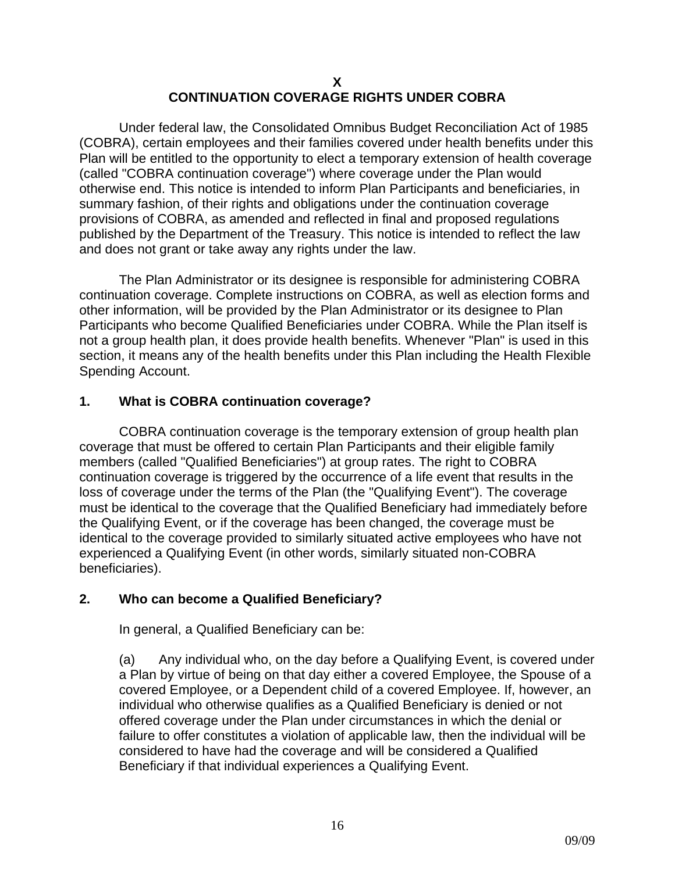### **X CONTINUATION COVERAGE RIGHTS UNDER COBRA**

<span id="page-19-0"></span>Under federal law, the Consolidated Omnibus Budget Reconciliation Act of 1985 (COBRA), certain employees and their families covered under health benefits under this Plan will be entitled to the opportunity to elect a temporary extension of health coverage (called "COBRA continuation coverage") where coverage under the Plan would otherwise end. This notice is intended to inform Plan Participants and beneficiaries, in summary fashion, of their rights and obligations under the continuation coverage provisions of COBRA, as amended and reflected in final and proposed regulations published by the Department of the Treasury. This notice is intended to reflect the law and does not grant or take away any rights under the law.

The Plan Administrator or its designee is responsible for administering COBRA continuation coverage. Complete instructions on COBRA, as well as election forms and other information, will be provided by the Plan Administrator or its designee to Plan Participants who become Qualified Beneficiaries under COBRA. While the Plan itself is not a group health plan, it does provide health benefits. Whenever "Plan" is used in this section, it means any of the health benefits under this Plan including the Health Flexible Spending Account.

# **1. What is COBRA continuation coverage?**

COBRA continuation coverage is the temporary extension of group health plan coverage that must be offered to certain Plan Participants and their eligible family members (called "Qualified Beneficiaries") at group rates. The right to COBRA continuation coverage is triggered by the occurrence of a life event that results in the loss of coverage under the terms of the Plan (the "Qualifying Event"). The coverage must be identical to the coverage that the Qualified Beneficiary had immediately before the Qualifying Event, or if the coverage has been changed, the coverage must be identical to the coverage provided to similarly situated active employees who have not experienced a Qualifying Event (in other words, similarly situated non-COBRA beneficiaries).

# **2. Who can become a Qualified Beneficiary?**

In general, a Qualified Beneficiary can be:

(a) Any individual who, on the day before a Qualifying Event, is covered under a Plan by virtue of being on that day either a covered Employee, the Spouse of a covered Employee, or a Dependent child of a covered Employee. If, however, an individual who otherwise qualifies as a Qualified Beneficiary is denied or not offered coverage under the Plan under circumstances in which the denial or failure to offer constitutes a violation of applicable law, then the individual will be considered to have had the coverage and will be considered a Qualified Beneficiary if that individual experiences a Qualifying Event.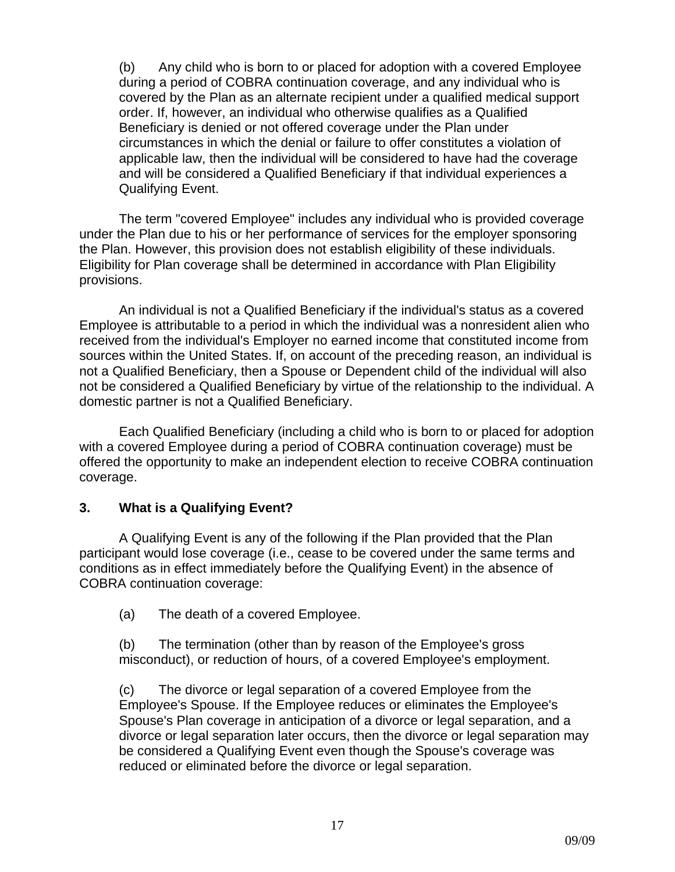<span id="page-20-0"></span>(b) Any child who is born to or placed for adoption with a covered Employee during a period of COBRA continuation coverage, and any individual who is covered by the Plan as an alternate recipient under a qualified medical support order. If, however, an individual who otherwise qualifies as a Qualified Beneficiary is denied or not offered coverage under the Plan under circumstances in which the denial or failure to offer constitutes a violation of applicable law, then the individual will be considered to have had the coverage and will be considered a Qualified Beneficiary if that individual experiences a Qualifying Event.

The term "covered Employee" includes any individual who is provided coverage under the Plan due to his or her performance of services for the employer sponsoring the Plan. However, this provision does not establish eligibility of these individuals. Eligibility for Plan coverage shall be determined in accordance with Plan Eligibility provisions.

An individual is not a Qualified Beneficiary if the individual's status as a covered Employee is attributable to a period in which the individual was a nonresident alien who received from the individual's Employer no earned income that constituted income from sources within the United States. If, on account of the preceding reason, an individual is not a Qualified Beneficiary, then a Spouse or Dependent child of the individual will also not be considered a Qualified Beneficiary by virtue of the relationship to the individual. A domestic partner is not a Qualified Beneficiary.

Each Qualified Beneficiary (including a child who is born to or placed for adoption with a covered Employee during a period of COBRA continuation coverage) must be offered the opportunity to make an independent election to receive COBRA continuation coverage.

# **3. What is a Qualifying Event?**

A Qualifying Event is any of the following if the Plan provided that the Plan participant would lose coverage (i.e., cease to be covered under the same terms and conditions as in effect immediately before the Qualifying Event) in the absence of COBRA continuation coverage:

(a) The death of a covered Employee.

(b) The termination (other than by reason of the Employee's gross misconduct), or reduction of hours, of a covered Employee's employment.

(c) The divorce or legal separation of a covered Employee from the Employee's Spouse. If the Employee reduces or eliminates the Employee's Spouse's Plan coverage in anticipation of a divorce or legal separation, and a divorce or legal separation later occurs, then the divorce or legal separation may be considered a Qualifying Event even though the Spouse's coverage was reduced or eliminated before the divorce or legal separation.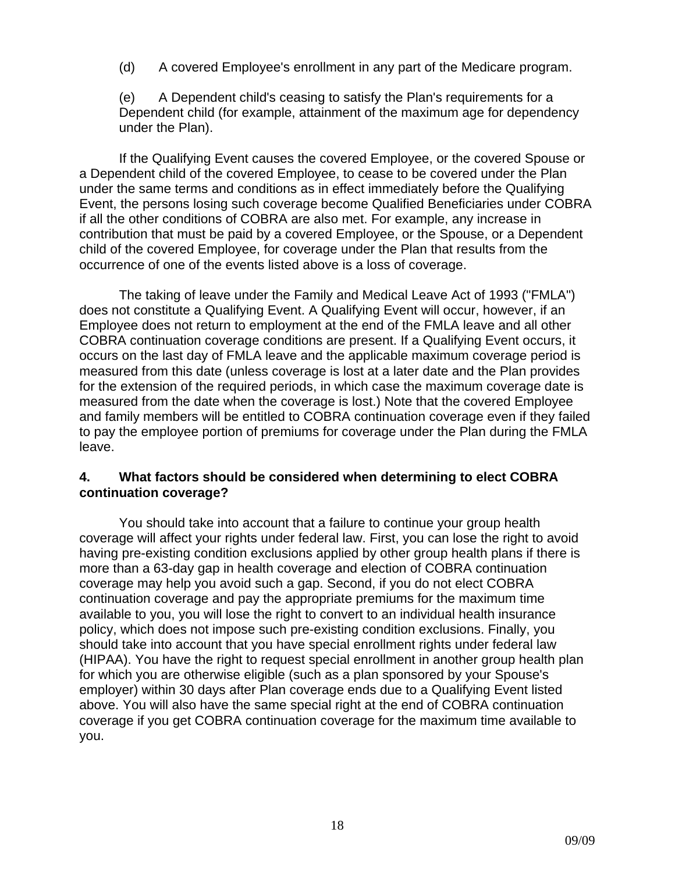<span id="page-21-0"></span>(d) A covered Employee's enrollment in any part of the Medicare program.

(e) A Dependent child's ceasing to satisfy the Plan's requirements for a Dependent child (for example, attainment of the maximum age for dependency under the Plan).

If the Qualifying Event causes the covered Employee, or the covered Spouse or a Dependent child of the covered Employee, to cease to be covered under the Plan under the same terms and conditions as in effect immediately before the Qualifying Event, the persons losing such coverage become Qualified Beneficiaries under COBRA if all the other conditions of COBRA are also met. For example, any increase in contribution that must be paid by a covered Employee, or the Spouse, or a Dependent child of the covered Employee, for coverage under the Plan that results from the occurrence of one of the events listed above is a loss of coverage.

The taking of leave under the Family and Medical Leave Act of 1993 ("FMLA") does not constitute a Qualifying Event. A Qualifying Event will occur, however, if an Employee does not return to employment at the end of the FMLA leave and all other COBRA continuation coverage conditions are present. If a Qualifying Event occurs, it occurs on the last day of FMLA leave and the applicable maximum coverage period is measured from this date (unless coverage is lost at a later date and the Plan provides for the extension of the required periods, in which case the maximum coverage date is measured from the date when the coverage is lost.) Note that the covered Employee and family members will be entitled to COBRA continuation coverage even if they failed to pay the employee portion of premiums for coverage under the Plan during the FMLA leave.

### **4. What factors should be considered when determining to elect COBRA continuation coverage?**

You should take into account that a failure to continue your group health coverage will affect your rights under federal law. First, you can lose the right to avoid having pre-existing condition exclusions applied by other group health plans if there is more than a 63-day gap in health coverage and election of COBRA continuation coverage may help you avoid such a gap. Second, if you do not elect COBRA continuation coverage and pay the appropriate premiums for the maximum time available to you, you will lose the right to convert to an individual health insurance policy, which does not impose such pre-existing condition exclusions. Finally, you should take into account that you have special enrollment rights under federal law (HIPAA). You have the right to request special enrollment in another group health plan for which you are otherwise eligible (such as a plan sponsored by your Spouse's employer) within 30 days after Plan coverage ends due to a Qualifying Event listed above. You will also have the same special right at the end of COBRA continuation coverage if you get COBRA continuation coverage for the maximum time available to you.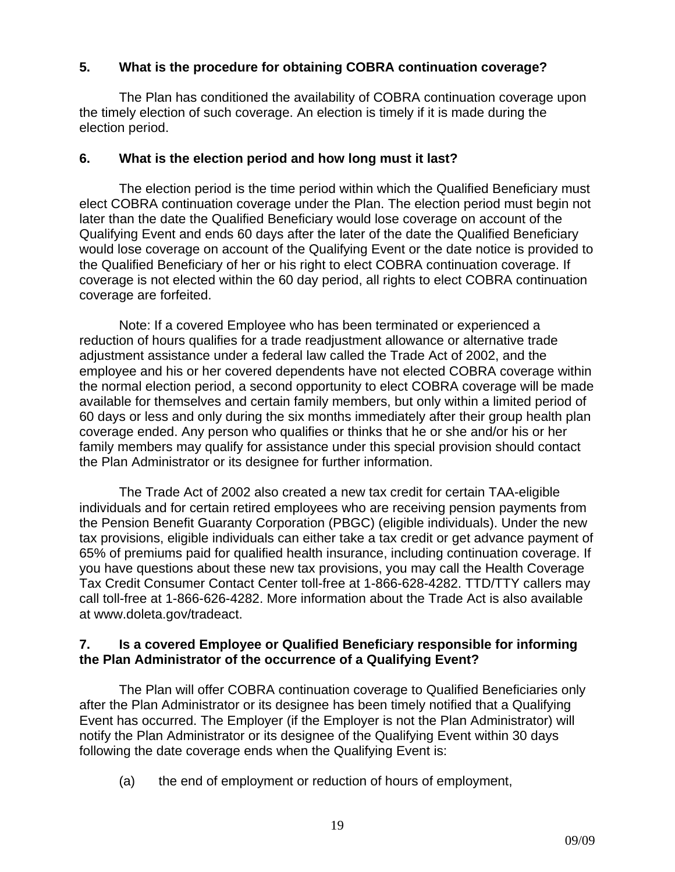# <span id="page-22-0"></span>**5. What is the procedure for obtaining COBRA continuation coverage?**

The Plan has conditioned the availability of COBRA continuation coverage upon the timely election of such coverage. An election is timely if it is made during the election period.

# **6. What is the election period and how long must it last?**

The election period is the time period within which the Qualified Beneficiary must elect COBRA continuation coverage under the Plan. The election period must begin not later than the date the Qualified Beneficiary would lose coverage on account of the Qualifying Event and ends 60 days after the later of the date the Qualified Beneficiary would lose coverage on account of the Qualifying Event or the date notice is provided to the Qualified Beneficiary of her or his right to elect COBRA continuation coverage. If coverage is not elected within the 60 day period, all rights to elect COBRA continuation coverage are forfeited.

Note: If a covered Employee who has been terminated or experienced a reduction of hours qualifies for a trade readjustment allowance or alternative trade adjustment assistance under a federal law called the Trade Act of 2002, and the employee and his or her covered dependents have not elected COBRA coverage within the normal election period, a second opportunity to elect COBRA coverage will be made available for themselves and certain family members, but only within a limited period of 60 days or less and only during the six months immediately after their group health plan coverage ended. Any person who qualifies or thinks that he or she and/or his or her family members may qualify for assistance under this special provision should contact the Plan Administrator or its designee for further information.

The Trade Act of 2002 also created a new tax credit for certain TAA-eligible individuals and for certain retired employees who are receiving pension payments from the Pension Benefit Guaranty Corporation (PBGC) (eligible individuals). Under the new tax provisions, eligible individuals can either take a tax credit or get advance payment of 65% of premiums paid for qualified health insurance, including continuation coverage. If you have questions about these new tax provisions, you may call the Health Coverage Tax Credit Consumer Contact Center toll-free at 1-866-628-4282. TTD/TTY callers may call toll-free at 1-866-626-4282. More information about the Trade Act is also available at www.doleta.gov/tradeact.

### **7. Is a covered Employee or Qualified Beneficiary responsible for informing the Plan Administrator of the occurrence of a Qualifying Event?**

The Plan will offer COBRA continuation coverage to Qualified Beneficiaries only after the Plan Administrator or its designee has been timely notified that a Qualifying Event has occurred. The Employer (if the Employer is not the Plan Administrator) will notify the Plan Administrator or its designee of the Qualifying Event within 30 days following the date coverage ends when the Qualifying Event is:

(a) the end of employment or reduction of hours of employment,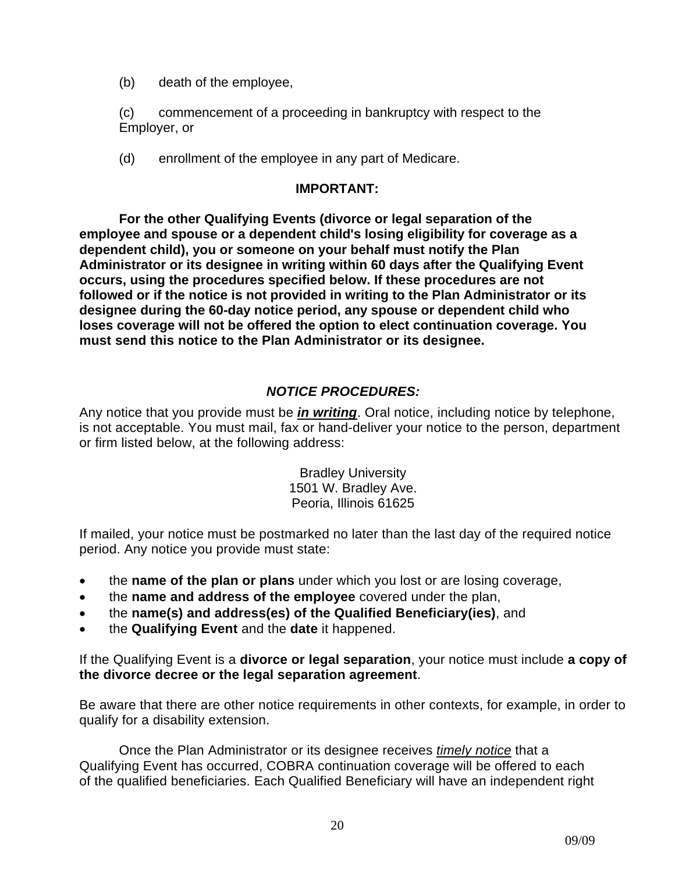(b) death of the employee,

(c) commencement of a proceeding in bankruptcy with respect to the Employer, or

(d) enrollment of the employee in any part of Medicare.

# **IMPORTANT:**

**For the other Qualifying Events (divorce or legal separation of the employee and spouse or a dependent child's losing eligibility for coverage as a dependent child), you or someone on your behalf must notify the Plan Administrator or its designee in writing within 60 days after the Qualifying Event occurs, using the procedures specified below. If these procedures are not followed or if the notice is not provided in writing to the Plan Administrator or its designee during the 60-day notice period, any spouse or dependent child who loses coverage will not be offered the option to elect continuation coverage. You must send this notice to the Plan Administrator or its designee.** 

# *NOTICE PROCEDURES:*

Any notice that you provide must be *in writing*. Oral notice, including notice by telephone, is not acceptable. You must mail, fax or hand-deliver your notice to the person, department or firm listed below, at the following address:

> Bradley University 1501 W. Bradley Ave. Peoria, Illinois 61625

If mailed, your notice must be postmarked no later than the last day of the required notice period. Any notice you provide must state:

- the **name of the plan or plans** under which you lost or are losing coverage,
- the **name and address of the employee** covered under the plan,
- the **name(s) and address(es) of the Qualified Beneficiary(ies)**, and
- the **Qualifying Event** and the **date** it happened.

If the Qualifying Event is a **divorce or legal separation**, your notice must include **a copy of the divorce decree or the legal separation agreement**.

Be aware that there are other notice requirements in other contexts, for example, in order to qualify for a disability extension.

Once the Plan Administrator or its designee receives *timely notice* that a Qualifying Event has occurred, COBRA continuation coverage will be offered to each of the qualified beneficiaries. Each Qualified Beneficiary will have an independent right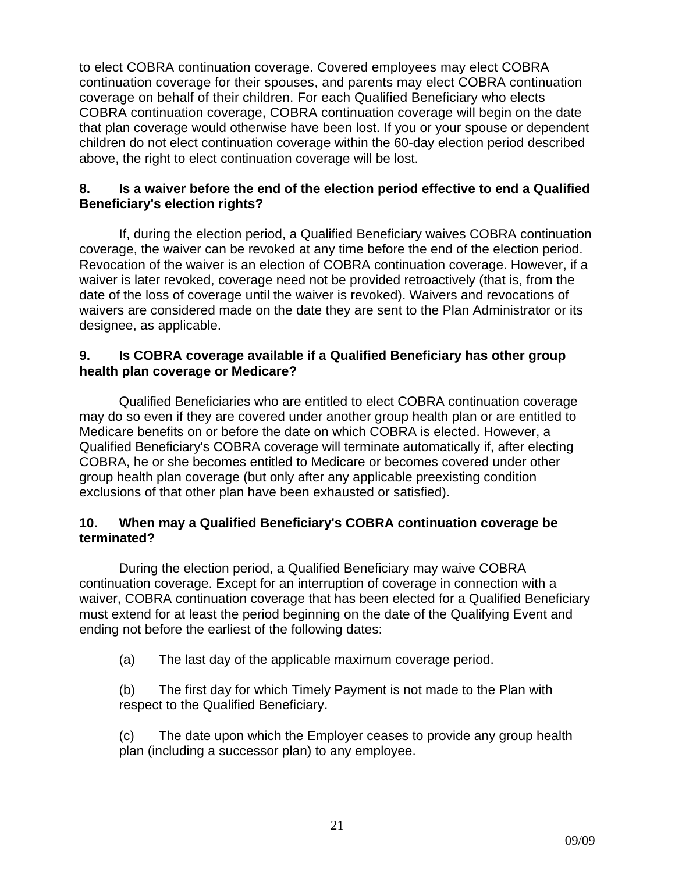<span id="page-24-0"></span>to elect COBRA continuation coverage. Covered employees may elect COBRA continuation coverage for their spouses, and parents may elect COBRA continuation coverage on behalf of their children. For each Qualified Beneficiary who elects COBRA continuation coverage, COBRA continuation coverage will begin on the date that plan coverage would otherwise have been lost. If you or your spouse or dependent children do not elect continuation coverage within the 60-day election period described above, the right to elect continuation coverage will be lost.

# **8. Is a waiver before the end of the election period effective to end a Qualified Beneficiary's election rights?**

If, during the election period, a Qualified Beneficiary waives COBRA continuation coverage, the waiver can be revoked at any time before the end of the election period. Revocation of the waiver is an election of COBRA continuation coverage. However, if a waiver is later revoked, coverage need not be provided retroactively (that is, from the date of the loss of coverage until the waiver is revoked). Waivers and revocations of waivers are considered made on the date they are sent to the Plan Administrator or its designee, as applicable.

# **9. Is COBRA coverage available if a Qualified Beneficiary has other group health plan coverage or Medicare?**

Qualified Beneficiaries who are entitled to elect COBRA continuation coverage may do so even if they are covered under another group health plan or are entitled to Medicare benefits on or before the date on which COBRA is elected. However, a Qualified Beneficiary's COBRA coverage will terminate automatically if, after electing COBRA, he or she becomes entitled to Medicare or becomes covered under other group health plan coverage (but only after any applicable preexisting condition exclusions of that other plan have been exhausted or satisfied).

### **10. When may a Qualified Beneficiary's COBRA continuation coverage be terminated?**

During the election period, a Qualified Beneficiary may waive COBRA continuation coverage. Except for an interruption of coverage in connection with a waiver, COBRA continuation coverage that has been elected for a Qualified Beneficiary must extend for at least the period beginning on the date of the Qualifying Event and ending not before the earliest of the following dates:

(a) The last day of the applicable maximum coverage period.

(b) The first day for which Timely Payment is not made to the Plan with respect to the Qualified Beneficiary.

(c) The date upon which the Employer ceases to provide any group health plan (including a successor plan) to any employee.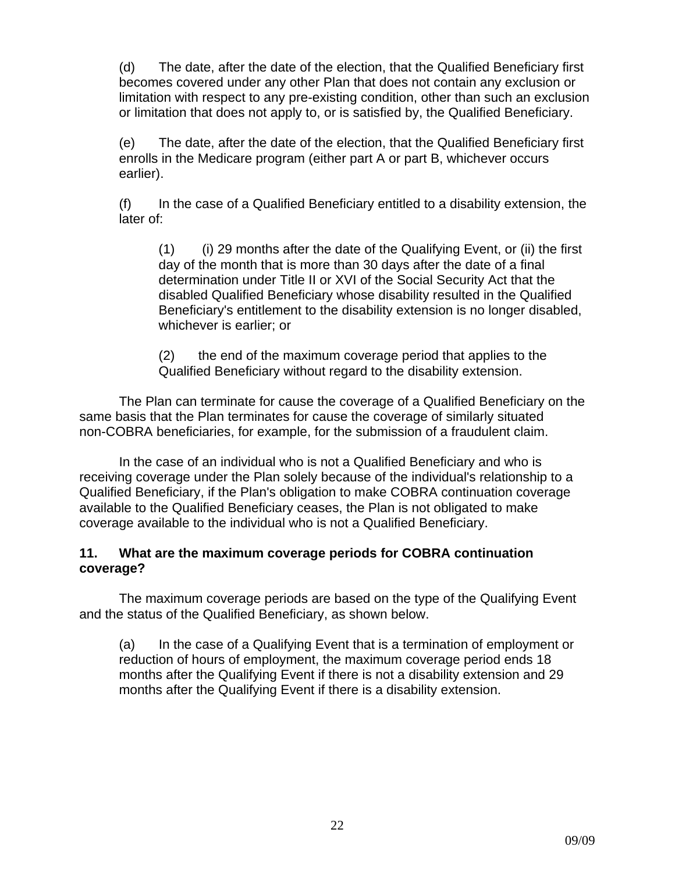<span id="page-25-0"></span>(d) The date, after the date of the election, that the Qualified Beneficiary first becomes covered under any other Plan that does not contain any exclusion or limitation with respect to any pre-existing condition, other than such an exclusion or limitation that does not apply to, or is satisfied by, the Qualified Beneficiary.

(e) The date, after the date of the election, that the Qualified Beneficiary first enrolls in the Medicare program (either part A or part B, whichever occurs earlier).

(f) In the case of a Qualified Beneficiary entitled to a disability extension, the later of:

 $(1)$  (i) 29 months after the date of the Qualifying Event, or (ii) the first day of the month that is more than 30 days after the date of a final determination under Title II or XVI of the Social Security Act that the disabled Qualified Beneficiary whose disability resulted in the Qualified Beneficiary's entitlement to the disability extension is no longer disabled, whichever is earlier; or

(2) the end of the maximum coverage period that applies to the Qualified Beneficiary without regard to the disability extension.

The Plan can terminate for cause the coverage of a Qualified Beneficiary on the same basis that the Plan terminates for cause the coverage of similarly situated non-COBRA beneficiaries, for example, for the submission of a fraudulent claim.

In the case of an individual who is not a Qualified Beneficiary and who is receiving coverage under the Plan solely because of the individual's relationship to a Qualified Beneficiary, if the Plan's obligation to make COBRA continuation coverage available to the Qualified Beneficiary ceases, the Plan is not obligated to make coverage available to the individual who is not a Qualified Beneficiary.

# **11. What are the maximum coverage periods for COBRA continuation coverage?**

The maximum coverage periods are based on the type of the Qualifying Event and the status of the Qualified Beneficiary, as shown below.

(a) In the case of a Qualifying Event that is a termination of employment or reduction of hours of employment, the maximum coverage period ends 18 months after the Qualifying Event if there is not a disability extension and 29 months after the Qualifying Event if there is a disability extension.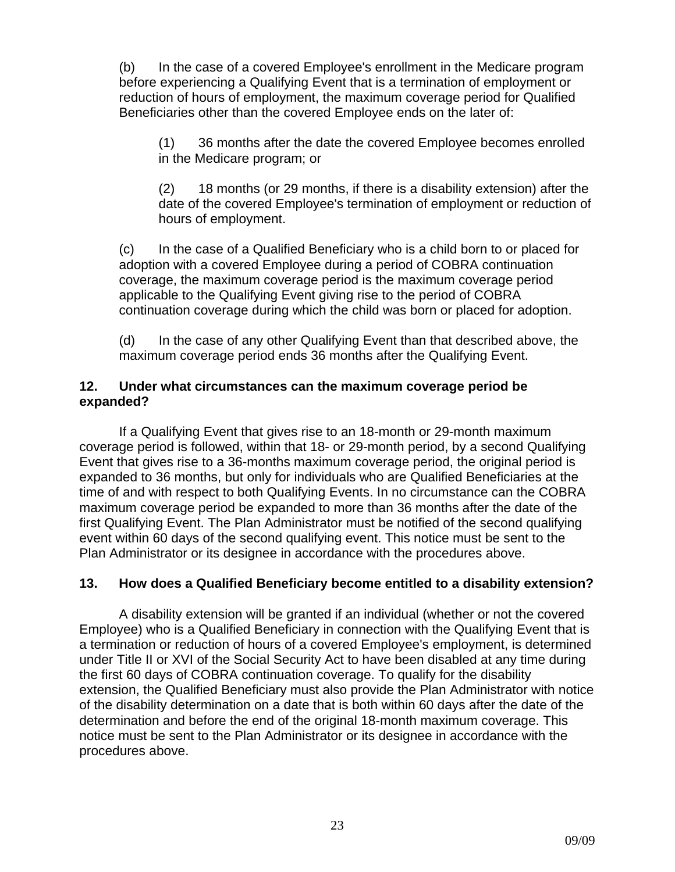<span id="page-26-0"></span>(b) In the case of a covered Employee's enrollment in the Medicare program before experiencing a Qualifying Event that is a termination of employment or reduction of hours of employment, the maximum coverage period for Qualified Beneficiaries other than the covered Employee ends on the later of:

(1) 36 months after the date the covered Employee becomes enrolled in the Medicare program; or

(2) 18 months (or 29 months, if there is a disability extension) after the date of the covered Employee's termination of employment or reduction of hours of employment.

(c) In the case of a Qualified Beneficiary who is a child born to or placed for adoption with a covered Employee during a period of COBRA continuation coverage, the maximum coverage period is the maximum coverage period applicable to the Qualifying Event giving rise to the period of COBRA continuation coverage during which the child was born or placed for adoption.

(d) In the case of any other Qualifying Event than that described above, the maximum coverage period ends 36 months after the Qualifying Event.

# **12. Under what circumstances can the maximum coverage period be expanded?**

If a Qualifying Event that gives rise to an 18-month or 29-month maximum coverage period is followed, within that 18- or 29-month period, by a second Qualifying Event that gives rise to a 36-months maximum coverage period, the original period is expanded to 36 months, but only for individuals who are Qualified Beneficiaries at the time of and with respect to both Qualifying Events. In no circumstance can the COBRA maximum coverage period be expanded to more than 36 months after the date of the first Qualifying Event. The Plan Administrator must be notified of the second qualifying event within 60 days of the second qualifying event. This notice must be sent to the Plan Administrator or its designee in accordance with the procedures above.

# **13. How does a Qualified Beneficiary become entitled to a disability extension?**

A disability extension will be granted if an individual (whether or not the covered Employee) who is a Qualified Beneficiary in connection with the Qualifying Event that is a termination or reduction of hours of a covered Employee's employment, is determined under Title II or XVI of the Social Security Act to have been disabled at any time during the first 60 days of COBRA continuation coverage. To qualify for the disability extension, the Qualified Beneficiary must also provide the Plan Administrator with notice of the disability determination on a date that is both within 60 days after the date of the determination and before the end of the original 18-month maximum coverage. This notice must be sent to the Plan Administrator or its designee in accordance with the procedures above.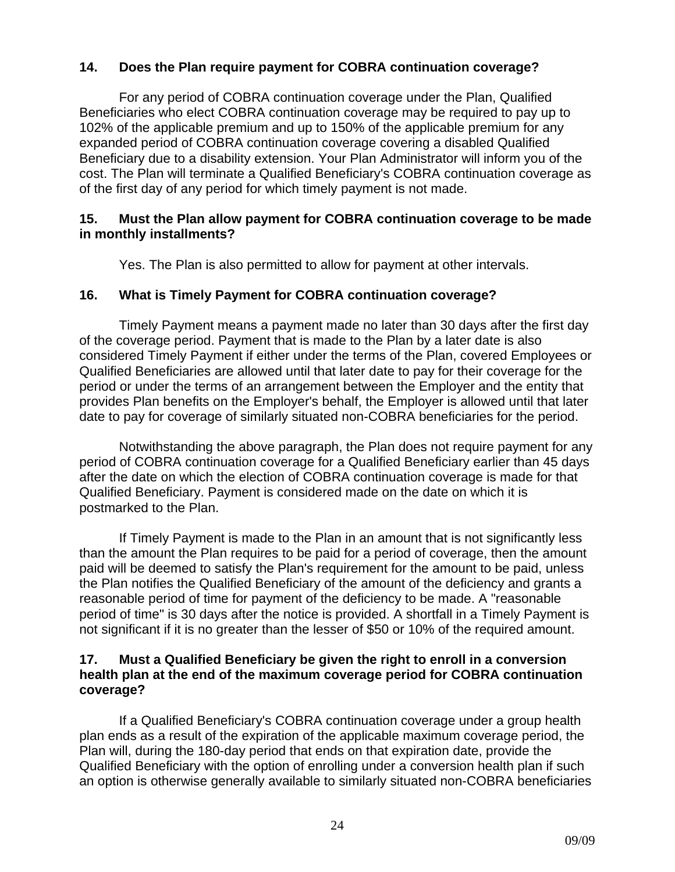# <span id="page-27-0"></span>**14. Does the Plan require payment for COBRA continuation coverage?**

For any period of COBRA continuation coverage under the Plan, Qualified Beneficiaries who elect COBRA continuation coverage may be required to pay up to 102% of the applicable premium and up to 150% of the applicable premium for any expanded period of COBRA continuation coverage covering a disabled Qualified Beneficiary due to a disability extension. Your Plan Administrator will inform you of the cost. The Plan will terminate a Qualified Beneficiary's COBRA continuation coverage as of the first day of any period for which timely payment is not made.

### **15. Must the Plan allow payment for COBRA continuation coverage to be made in monthly installments?**

Yes. The Plan is also permitted to allow for payment at other intervals.

# **16. What is Timely Payment for COBRA continuation coverage?**

Timely Payment means a payment made no later than 30 days after the first day of the coverage period. Payment that is made to the Plan by a later date is also considered Timely Payment if either under the terms of the Plan, covered Employees or Qualified Beneficiaries are allowed until that later date to pay for their coverage for the period or under the terms of an arrangement between the Employer and the entity that provides Plan benefits on the Employer's behalf, the Employer is allowed until that later date to pay for coverage of similarly situated non-COBRA beneficiaries for the period.

Notwithstanding the above paragraph, the Plan does not require payment for any period of COBRA continuation coverage for a Qualified Beneficiary earlier than 45 days after the date on which the election of COBRA continuation coverage is made for that Qualified Beneficiary. Payment is considered made on the date on which it is postmarked to the Plan.

If Timely Payment is made to the Plan in an amount that is not significantly less than the amount the Plan requires to be paid for a period of coverage, then the amount paid will be deemed to satisfy the Plan's requirement for the amount to be paid, unless the Plan notifies the Qualified Beneficiary of the amount of the deficiency and grants a reasonable period of time for payment of the deficiency to be made. A "reasonable period of time" is 30 days after the notice is provided. A shortfall in a Timely Payment is not significant if it is no greater than the lesser of \$50 or 10% of the required amount.

### **17. Must a Qualified Beneficiary be given the right to enroll in a conversion health plan at the end of the maximum coverage period for COBRA continuation coverage?**

If a Qualified Beneficiary's COBRA continuation coverage under a group health plan ends as a result of the expiration of the applicable maximum coverage period, the Plan will, during the 180-day period that ends on that expiration date, provide the Qualified Beneficiary with the option of enrolling under a conversion health plan if such an option is otherwise generally available to similarly situated non-COBRA beneficiaries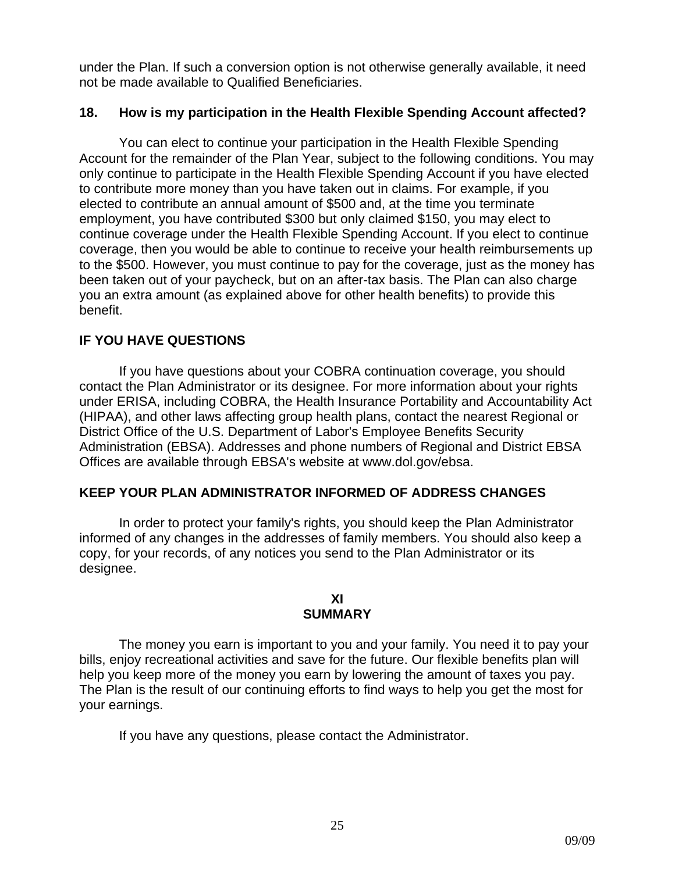<span id="page-28-0"></span>under the Plan. If such a conversion option is not otherwise generally available, it need not be made available to Qualified Beneficiaries.

# **18. How is my participation in the Health Flexible Spending Account affected?**

You can elect to continue your participation in the Health Flexible Spending Account for the remainder of the Plan Year, subject to the following conditions. You may only continue to participate in the Health Flexible Spending Account if you have elected to contribute more money than you have taken out in claims. For example, if you elected to contribute an annual amount of \$500 and, at the time you terminate employment, you have contributed \$300 but only claimed \$150, you may elect to continue coverage under the Health Flexible Spending Account. If you elect to continue coverage, then you would be able to continue to receive your health reimbursements up to the \$500. However, you must continue to pay for the coverage, just as the money has been taken out of your paycheck, but on an after-tax basis. The Plan can also charge you an extra amount (as explained above for other health benefits) to provide this benefit.

# **IF YOU HAVE QUESTIONS**

If you have questions about your COBRA continuation coverage, you should contact the Plan Administrator or its designee. For more information about your rights under ERISA, including COBRA, the Health Insurance Portability and Accountability Act (HIPAA), and other laws affecting group health plans, contact the nearest Regional or District Office of the U.S. Department of Labor's Employee Benefits Security Administration (EBSA). Addresses and phone numbers of Regional and District EBSA Offices are available through EBSA's website at www.dol.gov/ebsa.

### **KEEP YOUR PLAN ADMINISTRATOR INFORMED OF ADDRESS CHANGES**

In order to protect your family's rights, you should keep the Plan Administrator informed of any changes in the addresses of family members. You should also keep a copy, for your records, of any notices you send to the Plan Administrator or its designee.

#### **XI SUMMARY**

The money you earn is important to you and your family. You need it to pay your bills, enjoy recreational activities and save for the future. Our flexible benefits plan will help you keep more of the money you earn by lowering the amount of taxes you pay. The Plan is the result of our continuing efforts to find ways to help you get the most for your earnings.

If you have any questions, please contact the Administrator.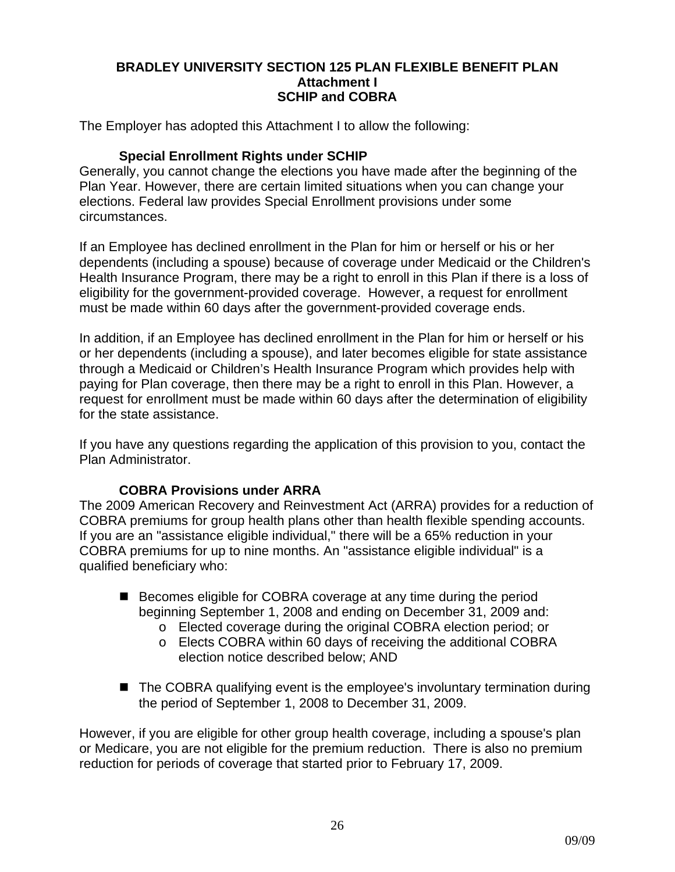### **BRADLEY UNIVERSITY SECTION 125 PLAN FLEXIBLE BENEFIT PLAN Attachment I SCHIP and COBRA**

The Employer has adopted this Attachment I to allow the following:

# **Special Enrollment Rights under SCHIP**

Generally, you cannot change the elections you have made after the beginning of the Plan Year. However, there are certain limited situations when you can change your elections. Federal law provides Special Enrollment provisions under some circumstances.

If an Employee has declined enrollment in the Plan for him or herself or his or her dependents (including a spouse) because of coverage under Medicaid or the Children's Health Insurance Program, there may be a right to enroll in this Plan if there is a loss of eligibility for the government-provided coverage. However, a request for enrollment must be made within 60 days after the government-provided coverage ends.

In addition, if an Employee has declined enrollment in the Plan for him or herself or his or her dependents (including a spouse), and later becomes eligible for state assistance through a Medicaid or Children's Health Insurance Program which provides help with paying for Plan coverage, then there may be a right to enroll in this Plan. However, a request for enrollment must be made within 60 days after the determination of eligibility for the state assistance.

If you have any questions regarding the application of this provision to you, contact the Plan Administrator.

### **COBRA Provisions under ARRA**

The 2009 American Recovery and Reinvestment Act (ARRA) provides for a reduction of COBRA premiums for group health plans other than health flexible spending accounts. If you are an "assistance eligible individual," there will be a 65% reduction in your COBRA premiums for up to nine months. An "assistance eligible individual" is a qualified beneficiary who:

- Becomes eligible for COBRA coverage at any time during the period beginning September 1, 2008 and ending on December 31, 2009 and:
	- o Elected coverage during the original COBRA election period; or
	- o Elects COBRA within 60 days of receiving the additional COBRA election notice described below; AND
- The COBRA qualifying event is the employee's involuntary termination during the period of September 1, 2008 to December 31, 2009.

However, if you are eligible for other group health coverage, including a spouse's plan or Medicare, you are not eligible for the premium reduction. There is also no premium reduction for periods of coverage that started prior to February 17, 2009.